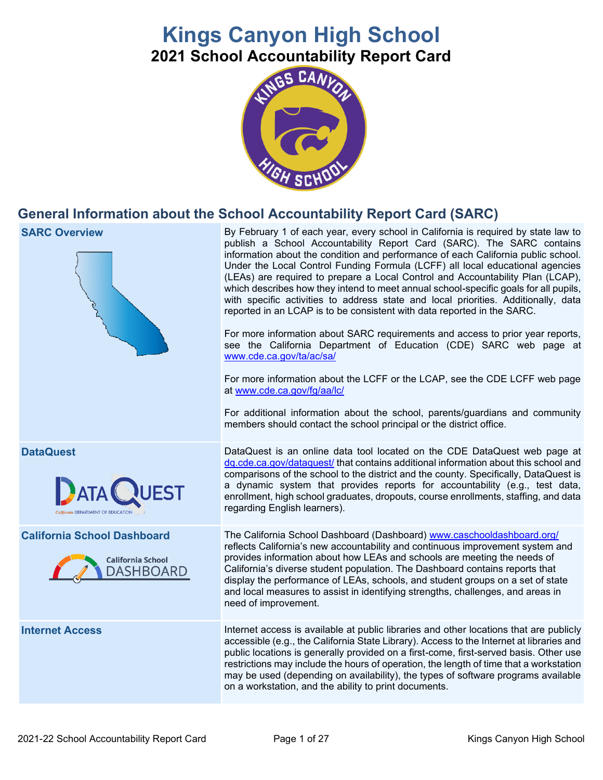# **Kings Canyon High School 2021 School Accountability Report Card**



# **General Information about the School Accountability Report Card (SARC)**

| <b>SARC Overview</b>                                                               | By February 1 of each year, every school in California is required by state law to<br>publish a School Accountability Report Card (SARC). The SARC contains<br>information about the condition and performance of each California public school.<br>Under the Local Control Funding Formula (LCFF) all local educational agencies<br>(LEAs) are required to prepare a Local Control and Accountability Plan (LCAP),<br>which describes how they intend to meet annual school-specific goals for all pupils,<br>with specific activities to address state and local priorities. Additionally, data<br>reported in an LCAP is to be consistent with data reported in the SARC.<br>For more information about SARC requirements and access to prior year reports,<br>see the California Department of Education (CDE) SARC web page at<br>www.cde.ca.gov/ta/ac/sa/<br>For more information about the LCFF or the LCAP, see the CDE LCFF web page<br>at www.cde.ca.gov/fg/aa/lc/<br>For additional information about the school, parents/guardians and community<br>members should contact the school principal or the district office. |
|------------------------------------------------------------------------------------|-------------------------------------------------------------------------------------------------------------------------------------------------------------------------------------------------------------------------------------------------------------------------------------------------------------------------------------------------------------------------------------------------------------------------------------------------------------------------------------------------------------------------------------------------------------------------------------------------------------------------------------------------------------------------------------------------------------------------------------------------------------------------------------------------------------------------------------------------------------------------------------------------------------------------------------------------------------------------------------------------------------------------------------------------------------------------------------------------------------------------------------|
| <b>DataQuest</b><br>QUEST                                                          | DataQuest is an online data tool located on the CDE DataQuest web page at<br>dq.cde.ca.gov/dataquest/ that contains additional information about this school and<br>comparisons of the school to the district and the county. Specifically, DataQuest is<br>a dynamic system that provides reports for accountability (e.g., test data,<br>enrollment, high school graduates, dropouts, course enrollments, staffing, and data<br>regarding English learners).                                                                                                                                                                                                                                                                                                                                                                                                                                                                                                                                                                                                                                                                      |
| <b>California School Dashboard</b><br><b>California School</b><br><b>DASHBOARD</b> | The California School Dashboard (Dashboard) www.caschooldashboard.org/<br>reflects California's new accountability and continuous improvement system and<br>provides information about how LEAs and schools are meeting the needs of<br>California's diverse student population. The Dashboard contains reports that<br>display the performance of LEAs, schools, and student groups on a set of state<br>and local measures to assist in identifying strengths, challenges, and areas in<br>need of improvement.                                                                                                                                                                                                                                                                                                                                                                                                                                                                                                                                                                                                                   |
| <b>Internet Access</b>                                                             | Internet access is available at public libraries and other locations that are publicly<br>accessible (e.g., the California State Library). Access to the Internet at libraries and<br>public locations is generally provided on a first-come, first-served basis. Other use<br>restrictions may include the hours of operation, the length of time that a workstation<br>may be used (depending on availability), the types of software programs available<br>on a workstation, and the ability to print documents.                                                                                                                                                                                                                                                                                                                                                                                                                                                                                                                                                                                                                 |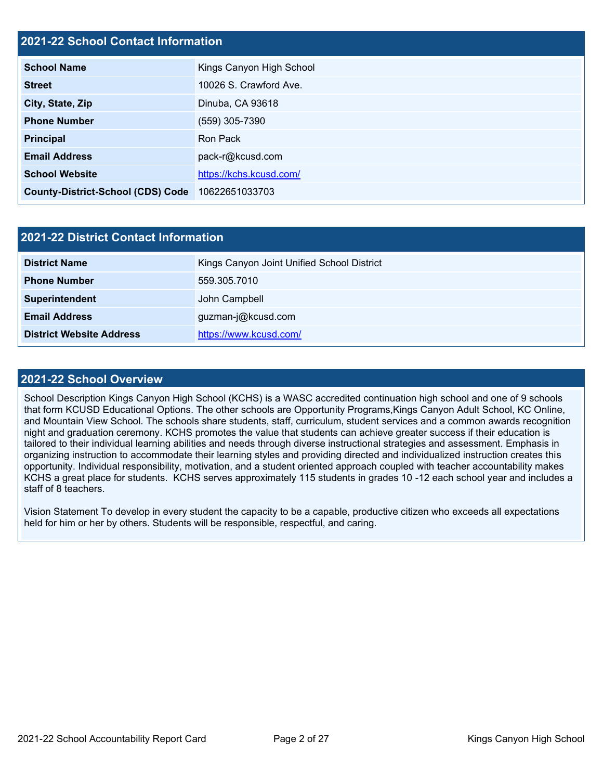### **2021-22 School Contact Information**

| <b>School Name</b>                       | Kings Canyon High School |
|------------------------------------------|--------------------------|
| <b>Street</b>                            | 10026 S. Crawford Ave.   |
| City, State, Zip                         | Dinuba, CA 93618         |
| <b>Phone Number</b>                      | (559) 305-7390           |
| <b>Principal</b>                         | Ron Pack                 |
| <b>Email Address</b>                     | pack-r@kcusd.com         |
| <b>School Website</b>                    | https://kchs.kcusd.com/  |
| <b>County-District-School (CDS) Code</b> | 10622651033703           |

| 2021-22 District Contact Information |                                            |  |
|--------------------------------------|--------------------------------------------|--|
| <b>District Name</b>                 | Kings Canyon Joint Unified School District |  |
| <b>Phone Number</b>                  | 559.305.7010                               |  |
| Superintendent                       | John Campbell                              |  |
| <b>Email Address</b>                 | guzman-j@kcusd.com                         |  |
| <b>District Website Address</b>      | https://www.kcusd.com/                     |  |

### **2021-22 School Overview**

School Description Kings Canyon High School (KCHS) is a WASC accredited continuation high school and one of 9 schools that form KCUSD Educational Options. The other schools are Opportunity Programs,Kings Canyon Adult School, KC Online, and Mountain View School. The schools share students, staff, curriculum, student services and a common awards recognition night and graduation ceremony. KCHS promotes the value that students can achieve greater success if their education is tailored to their individual learning abilities and needs through diverse instructional strategies and assessment. Emphasis in organizing instruction to accommodate their learning styles and providing directed and individualized instruction creates this opportunity. Individual responsibility, motivation, and a student oriented approach coupled with teacher accountability makes KCHS a great place for students. KCHS serves approximately 115 students in grades 10 -12 each school year and includes a staff of 8 teachers.

Vision Statement To develop in every student the capacity to be a capable, productive citizen who exceeds all expectations held for him or her by others. Students will be responsible, respectful, and caring.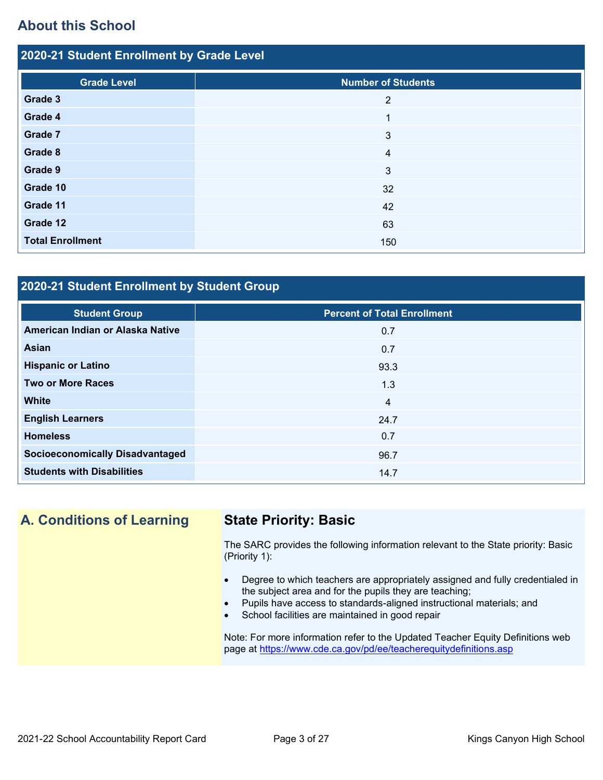# **About this School**

| 2020-21 Student Enrollment by Grade Level |  |  |  |
|-------------------------------------------|--|--|--|
| <b>Number of Students</b>                 |  |  |  |
| 2                                         |  |  |  |
|                                           |  |  |  |
| 3                                         |  |  |  |
| 4                                         |  |  |  |
| 3                                         |  |  |  |
| 32                                        |  |  |  |
| 42                                        |  |  |  |
| 63                                        |  |  |  |
| 150                                       |  |  |  |
|                                           |  |  |  |

# **2020-21 Student Enrollment by Student Group**

| <b>Student Group</b>                   | <b>Percent of Total Enrollment</b> |
|----------------------------------------|------------------------------------|
| American Indian or Alaska Native       | 0.7                                |
| Asian                                  | 0.7                                |
| <b>Hispanic or Latino</b>              | 93.3                               |
| <b>Two or More Races</b>               | 1.3                                |
| <b>White</b>                           | $\overline{4}$                     |
| <b>English Learners</b>                | 24.7                               |
| <b>Homeless</b>                        | 0.7                                |
| <b>Socioeconomically Disadvantaged</b> | 96.7                               |
| <b>Students with Disabilities</b>      | 14.7                               |

# **A. Conditions of Learning State Priority: Basic**

The SARC provides the following information relevant to the State priority: Basic (Priority 1):

- Degree to which teachers are appropriately assigned and fully credentialed in the subject area and for the pupils they are teaching;
- Pupils have access to standards-aligned instructional materials; and
- School facilities are maintained in good repair

Note: For more information refer to the Updated Teacher Equity Definitions web page at<https://www.cde.ca.gov/pd/ee/teacherequitydefinitions.asp>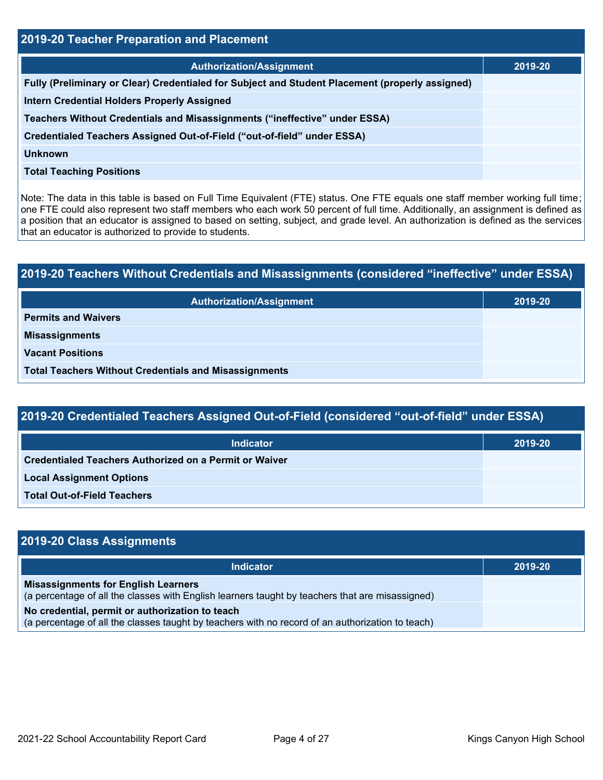| <b>2019-20 Teacher Preparation and Placement</b>                                                |         |  |  |
|-------------------------------------------------------------------------------------------------|---------|--|--|
| <b>Authorization/Assignment</b>                                                                 | 2019-20 |  |  |
| Fully (Preliminary or Clear) Credentialed for Subject and Student Placement (properly assigned) |         |  |  |
| <b>Intern Credential Holders Properly Assigned</b>                                              |         |  |  |
| Teachers Without Credentials and Misassignments ("ineffective" under ESSA)                      |         |  |  |
| Credentialed Teachers Assigned Out-of-Field ("out-of-field" under ESSA)                         |         |  |  |
| <b>Unknown</b>                                                                                  |         |  |  |
| <b>Total Teaching Positions</b>                                                                 |         |  |  |

Note: The data in this table is based on Full Time Equivalent (FTE) status. One FTE equals one staff member working full time; one FTE could also represent two staff members who each work 50 percent of full time. Additionally, an assignment is defined as a position that an educator is assigned to based on setting, subject, and grade level. An authorization is defined as the services that an educator is authorized to provide to students.

# **2019-20 Teachers Without Credentials and Misassignments (considered "ineffective" under ESSA) Authorization/Assignment 2019-20 Permits and Waivers Misassignments Vacant Positions Total Teachers Without Credentials and Misassignments**

| 2019-20 Credentialed Teachers Assigned Out-of-Field (considered "out-of-field" under ESSA) |         |  |  |
|--------------------------------------------------------------------------------------------|---------|--|--|
| <b>Indicator</b>                                                                           | 2019-20 |  |  |
| Credentialed Teachers Authorized on a Permit or Waiver                                     |         |  |  |
| <b>Local Assignment Options</b>                                                            |         |  |  |
| <b>Total Out-of-Field Teachers</b>                                                         |         |  |  |

| 2019-20 Class Assignments                                                                                                                           |         |
|-----------------------------------------------------------------------------------------------------------------------------------------------------|---------|
| <b>Indicator</b>                                                                                                                                    | 2019-20 |
| <b>Misassignments for English Learners</b><br>(a percentage of all the classes with English learners taught by teachers that are misassigned)       |         |
| No credential, permit or authorization to teach<br>(a percentage of all the classes taught by teachers with no record of an authorization to teach) |         |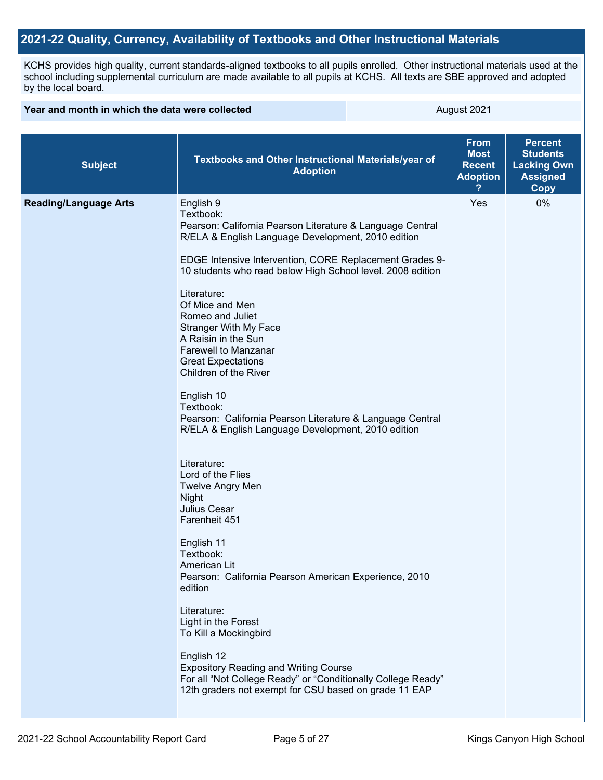### **2021-22 Quality, Currency, Availability of Textbooks and Other Instructional Materials**

KCHS provides high quality, current standards-aligned textbooks to all pupils enrolled. Other instructional materials used at the school including supplemental curriculum are made available to all pupils at KCHS. All texts are SBE approved and adopted by the local board.

| Year and month in which the data were collected |                                                                                                                                                                                                                                                                                                                                                                                                                                                                                                                                                                                                                                                                                                                                                                                                                                                                                                                                                                                                                                                                                                  | August 2021 |                                                                |                                                                                           |
|-------------------------------------------------|--------------------------------------------------------------------------------------------------------------------------------------------------------------------------------------------------------------------------------------------------------------------------------------------------------------------------------------------------------------------------------------------------------------------------------------------------------------------------------------------------------------------------------------------------------------------------------------------------------------------------------------------------------------------------------------------------------------------------------------------------------------------------------------------------------------------------------------------------------------------------------------------------------------------------------------------------------------------------------------------------------------------------------------------------------------------------------------------------|-------------|----------------------------------------------------------------|-------------------------------------------------------------------------------------------|
| <b>Subject</b>                                  | Textbooks and Other Instructional Materials/year of<br><b>Adoption</b>                                                                                                                                                                                                                                                                                                                                                                                                                                                                                                                                                                                                                                                                                                                                                                                                                                                                                                                                                                                                                           |             | <b>From</b><br><b>Most</b><br><b>Recent</b><br><b>Adoption</b> | <b>Percent</b><br><b>Students</b><br><b>Lacking Own</b><br><b>Assigned</b><br><b>Copy</b> |
| <b>Reading/Language Arts</b>                    | English 9<br>Textbook:<br>Pearson: California Pearson Literature & Language Central<br>R/ELA & English Language Development, 2010 edition<br>EDGE Intensive Intervention, CORE Replacement Grades 9-<br>10 students who read below High School level. 2008 edition<br>Literature:<br>Of Mice and Men<br>Romeo and Juliet<br><b>Stranger With My Face</b><br>A Raisin in the Sun<br><b>Farewell to Manzanar</b><br><b>Great Expectations</b><br>Children of the River<br>English 10<br>Textbook:<br>Pearson: California Pearson Literature & Language Central<br>R/ELA & English Language Development, 2010 edition<br>Literature:<br>Lord of the Flies<br><b>Twelve Angry Men</b><br>Night<br>Julius Cesar<br>Farenheit 451<br>English 11<br>Textbook:<br>American Lit<br>Pearson: California Pearson American Experience, 2010<br>edition<br>Literature:<br>Light in the Forest<br>To Kill a Mockingbird<br>English 12<br><b>Expository Reading and Writing Course</b><br>For all "Not College Ready" or "Conditionally College Ready"<br>12th graders not exempt for CSU based on grade 11 EAP |             | Yes                                                            | 0%                                                                                        |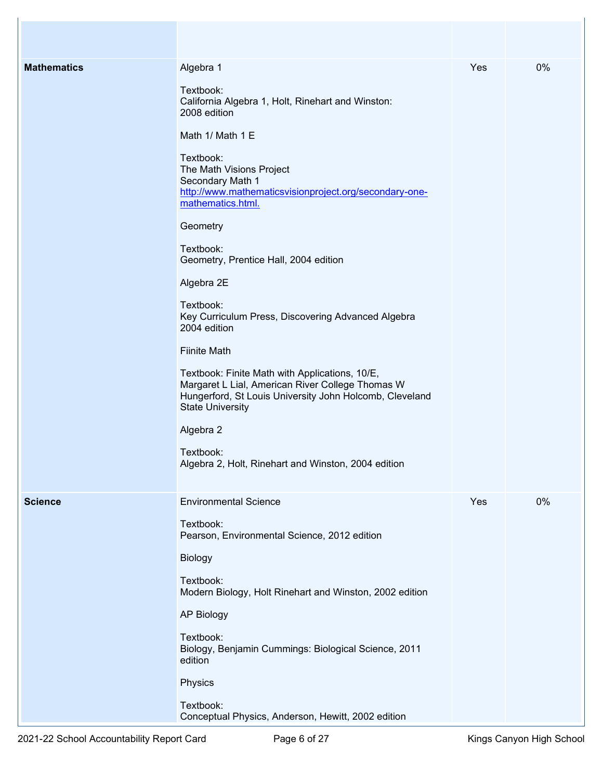| 0%<br><b>Mathematics</b><br>Algebra 1<br>Yes<br>Textbook:<br>California Algebra 1, Holt, Rinehart and Winston:<br>2008 edition<br>Math 1/ Math 1 E<br>Textbook:<br>The Math Visions Project<br>Secondary Math 1<br>http://www.mathematicsvisionproject.org/secondary-one-<br>mathematics.html.<br>Geometry<br>Textbook:<br>Geometry, Prentice Hall, 2004 edition<br>Algebra 2E<br>Textbook:<br>Key Curriculum Press, Discovering Advanced Algebra<br>2004 edition<br><b>Fiinite Math</b><br>Textbook: Finite Math with Applications, 10/E,<br>Margaret L Lial, American River College Thomas W<br>Hungerford, St Louis University John Holcomb, Cleveland<br><b>State University</b><br>Algebra 2<br>Textbook:<br>Algebra 2, Holt, Rinehart and Winston, 2004 edition<br><b>Environmental Science</b><br>Yes<br>0%<br><b>Science</b><br>Textbook:<br>Pearson, Environmental Science, 2012 edition<br>Biology<br>Textbook:<br>Modern Biology, Holt Rinehart and Winston, 2002 edition<br><b>AP Biology</b> |           |  |
|-----------------------------------------------------------------------------------------------------------------------------------------------------------------------------------------------------------------------------------------------------------------------------------------------------------------------------------------------------------------------------------------------------------------------------------------------------------------------------------------------------------------------------------------------------------------------------------------------------------------------------------------------------------------------------------------------------------------------------------------------------------------------------------------------------------------------------------------------------------------------------------------------------------------------------------------------------------------------------------------------------------|-----------|--|
|                                                                                                                                                                                                                                                                                                                                                                                                                                                                                                                                                                                                                                                                                                                                                                                                                                                                                                                                                                                                           |           |  |
| Biology, Benjamin Cummings: Biological Science, 2011<br>edition<br>Physics<br>Textbook:<br>Conceptual Physics, Anderson, Hewitt, 2002 edition                                                                                                                                                                                                                                                                                                                                                                                                                                                                                                                                                                                                                                                                                                                                                                                                                                                             | Textbook: |  |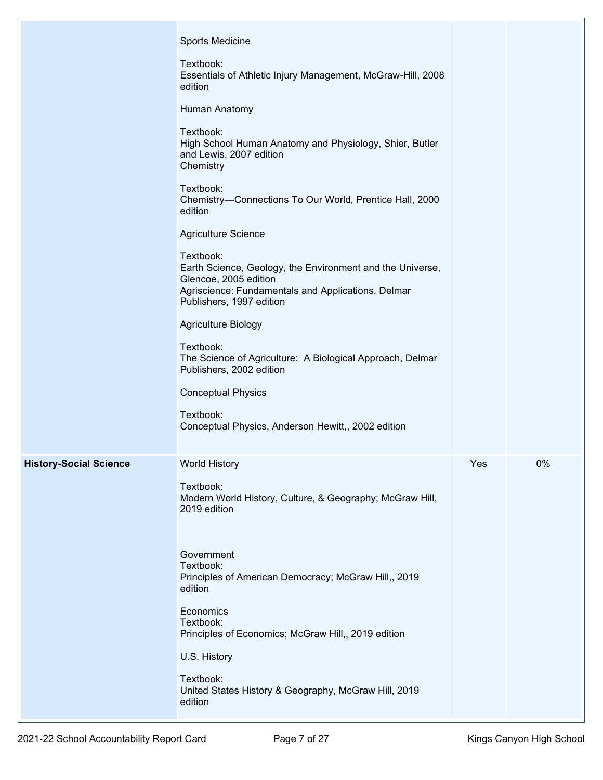|                               | Sports Medicine<br>Textbook:<br>Essentials of Athletic Injury Management, McGraw-Hill, 2008<br>edition<br>Human Anatomy<br>Textbook:<br>High School Human Anatomy and Physiology, Shier, Butler<br>and Lewis, 2007 edition<br>Chemistry<br>Textbook:<br>Chemistry-Connections To Our World, Prentice Hall, 2000<br>edition<br>Agriculture Science                                                              |     |    |
|-------------------------------|----------------------------------------------------------------------------------------------------------------------------------------------------------------------------------------------------------------------------------------------------------------------------------------------------------------------------------------------------------------------------------------------------------------|-----|----|
|                               | Textbook:<br>Earth Science, Geology, the Environment and the Universe,<br>Glencoe, 2005 edition<br>Agriscience: Fundamentals and Applications, Delmar<br>Publishers, 1997 edition<br>Agriculture Biology<br>Textbook:<br>The Science of Agriculture: A Biological Approach, Delmar<br>Publishers, 2002 edition<br><b>Conceptual Physics</b><br>Textbook:<br>Conceptual Physics, Anderson Hewitt,, 2002 edition |     |    |
| <b>History-Social Science</b> | <b>World History</b><br>Textbook:<br>Modern World History, Culture, & Geography; McGraw Hill,<br>2019 edition<br>Government<br>Textbook:<br>Principles of American Democracy; McGraw Hill,, 2019<br>edition<br>Economics<br>Textbook:<br>Principles of Economics; McGraw Hill,, 2019 edition<br>U.S. History<br>Textbook:<br>United States History & Geography, McGraw Hill, 2019<br>edition                   | Yes | 0% |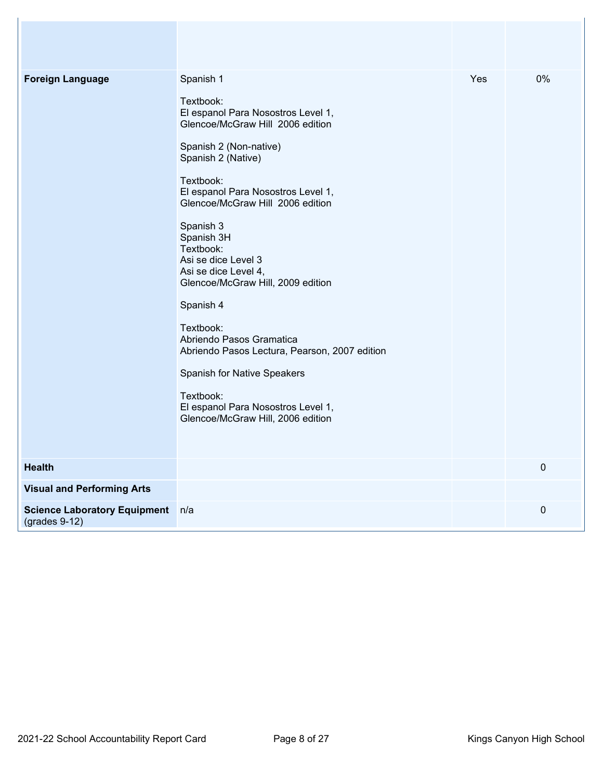| <b>Foreign Language</b>                                | Spanish 1<br>Textbook:<br>El espanol Para Nosostros Level 1,<br>Glencoe/McGraw Hill 2006 edition<br>Spanish 2 (Non-native)<br>Spanish 2 (Native)<br>Textbook:<br>El espanol Para Nosostros Level 1,<br>Glencoe/McGraw Hill 2006 edition<br>Spanish 3<br>Spanish 3H<br>Textbook:<br>Asi se dice Level 3<br>Asi se dice Level 4,<br>Glencoe/McGraw Hill, 2009 edition<br>Spanish 4<br>Textbook:<br>Abriendo Pasos Gramatica<br>Abriendo Pasos Lectura, Pearson, 2007 edition<br>Spanish for Native Speakers<br>Textbook:<br>El espanol Para Nosostros Level 1,<br>Glencoe/McGraw Hill, 2006 edition | Yes | 0%          |
|--------------------------------------------------------|---------------------------------------------------------------------------------------------------------------------------------------------------------------------------------------------------------------------------------------------------------------------------------------------------------------------------------------------------------------------------------------------------------------------------------------------------------------------------------------------------------------------------------------------------------------------------------------------------|-----|-------------|
| <b>Health</b>                                          |                                                                                                                                                                                                                                                                                                                                                                                                                                                                                                                                                                                                   |     | $\mathbf 0$ |
| <b>Visual and Performing Arts</b>                      |                                                                                                                                                                                                                                                                                                                                                                                                                                                                                                                                                                                                   |     |             |
| <b>Science Laboratory Equipment</b><br>$(grades 9-12)$ | n/a                                                                                                                                                                                                                                                                                                                                                                                                                                                                                                                                                                                               |     | $\mathbf 0$ |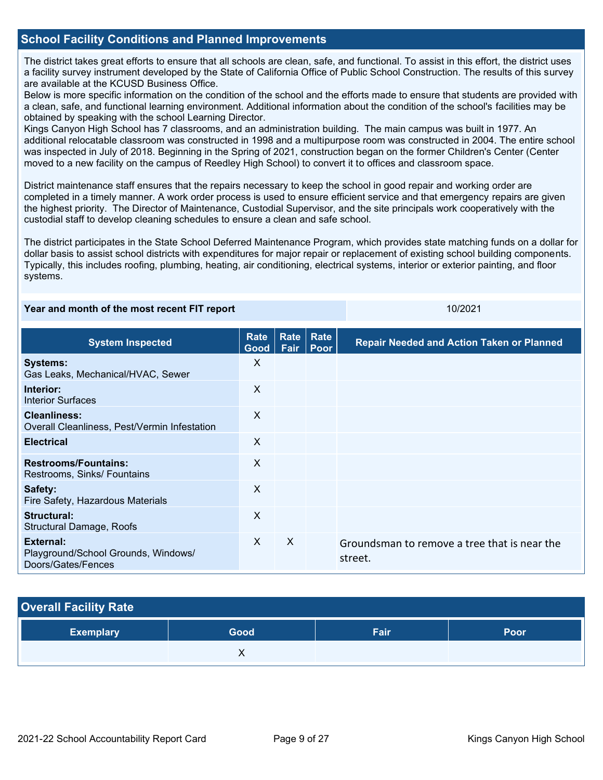### **School Facility Conditions and Planned Improvements**

The district takes great efforts to ensure that all schools are clean, safe, and functional. To assist in this effort, the district uses a facility survey instrument developed by the State of California Office of Public School Construction. The results of this survey are available at the KCUSD Business Office.

Below is more specific information on the condition of the school and the efforts made to ensure that students are provided with a clean, safe, and functional learning environment. Additional information about the condition of the school's facilities may be obtained by speaking with the school Learning Director.

Kings Canyon High School has 7 classrooms, and an administration building. The main campus was built in 1977. An additional relocatable classroom was constructed in 1998 and a multipurpose room was constructed in 2004. The entire school was inspected in July of 2018. Beginning in the Spring of 2021, construction began on the former Children's Center (Center moved to a new facility on the campus of Reedley High School) to convert it to offices and classroom space.

District maintenance staff ensures that the repairs necessary to keep the school in good repair and working order are completed in a timely manner. A work order process is used to ensure efficient service and that emergency repairs are given the highest priority. The Director of Maintenance, Custodial Supervisor, and the site principals work cooperatively with the custodial staff to develop cleaning schedules to ensure a clean and safe school.

The district participates in the State School Deferred Maintenance Program, which provides state matching funds on a dollar for dollar basis to assist school districts with expenditures for major repair or replacement of existing school building components. Typically, this includes roofing, plumbing, heating, air conditioning, electrical systems, interior or exterior painting, and floor systems.

| Year and month of the most recent FIT report                           |              |              | 10/2021      |                                                         |
|------------------------------------------------------------------------|--------------|--------------|--------------|---------------------------------------------------------|
| <b>System Inspected</b>                                                | Rate<br>Good | Rate<br>Fair | Rate<br>Poor | <b>Repair Needed and Action Taken or Planned</b>        |
| <b>Systems:</b><br>Gas Leaks, Mechanical/HVAC, Sewer                   | X            |              |              |                                                         |
| Interior:<br>Interior Surfaces                                         | X            |              |              |                                                         |
| <b>Cleanliness:</b><br>Overall Cleanliness, Pest/Vermin Infestation    | $\mathsf{X}$ |              |              |                                                         |
| <b>Electrical</b>                                                      | $\sf X$      |              |              |                                                         |
| <b>Restrooms/Fountains:</b><br>Restrooms, Sinks/ Fountains             | X            |              |              |                                                         |
| Safety:<br>Fire Safety, Hazardous Materials                            | X            |              |              |                                                         |
| <b>Structural:</b><br>Structural Damage, Roofs                         | $\sf X$      |              |              |                                                         |
| External:<br>Playground/School Grounds, Windows/<br>Doors/Gates/Fences | X            | $\times$     |              | Groundsman to remove a tree that is near the<br>street. |

# **Overall Facility Rate Exemplary Good Fair Poor X X**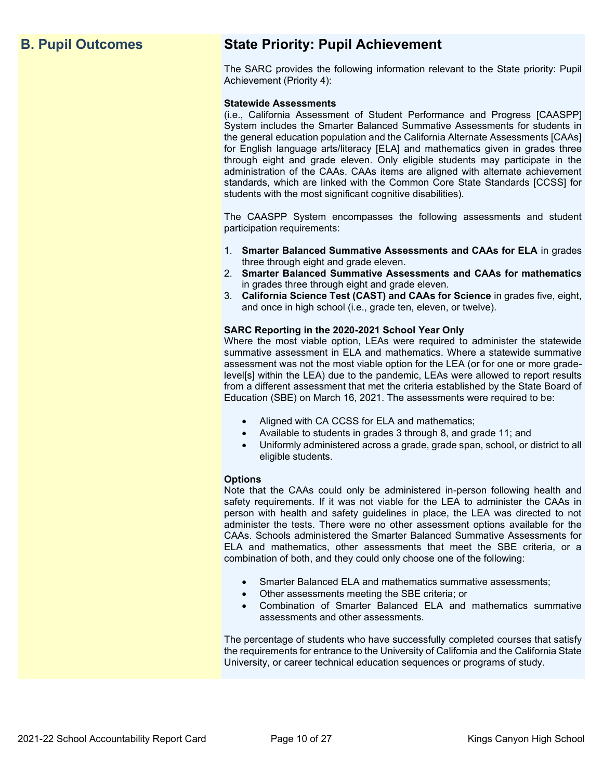# **B. Pupil Outcomes State Priority: Pupil Achievement**

The SARC provides the following information relevant to the State priority: Pupil Achievement (Priority 4):

### **Statewide Assessments**

(i.e., California Assessment of Student Performance and Progress [CAASPP] System includes the Smarter Balanced Summative Assessments for students in the general education population and the California Alternate Assessments [CAAs] for English language arts/literacy [ELA] and mathematics given in grades three through eight and grade eleven. Only eligible students may participate in the administration of the CAAs. CAAs items are aligned with alternate achievement standards, which are linked with the Common Core State Standards [CCSS] for students with the most significant cognitive disabilities).

The CAASPP System encompasses the following assessments and student participation requirements:

- 1. **Smarter Balanced Summative Assessments and CAAs for ELA** in grades three through eight and grade eleven.
- 2. **Smarter Balanced Summative Assessments and CAAs for mathematics** in grades three through eight and grade eleven.
- 3. **California Science Test (CAST) and CAAs for Science** in grades five, eight, and once in high school (i.e., grade ten, eleven, or twelve).

### **SARC Reporting in the 2020-2021 School Year Only**

Where the most viable option, LEAs were required to administer the statewide summative assessment in ELA and mathematics. Where a statewide summative assessment was not the most viable option for the LEA (or for one or more gradelevel[s] within the LEA) due to the pandemic, LEAs were allowed to report results from a different assessment that met the criteria established by the State Board of Education (SBE) on March 16, 2021. The assessments were required to be:

- Aligned with CA CCSS for ELA and mathematics;
- Available to students in grades 3 through 8, and grade 11; and
- Uniformly administered across a grade, grade span, school, or district to all eligible students.

### **Options**

Note that the CAAs could only be administered in-person following health and safety requirements. If it was not viable for the LEA to administer the CAAs in person with health and safety guidelines in place, the LEA was directed to not administer the tests. There were no other assessment options available for the CAAs. Schools administered the Smarter Balanced Summative Assessments for ELA and mathematics, other assessments that meet the SBE criteria, or a combination of both, and they could only choose one of the following:

- Smarter Balanced ELA and mathematics summative assessments;
- Other assessments meeting the SBE criteria; or
- Combination of Smarter Balanced ELA and mathematics summative assessments and other assessments.

The percentage of students who have successfully completed courses that satisfy the requirements for entrance to the University of California and the California State University, or career technical education sequences or programs of study.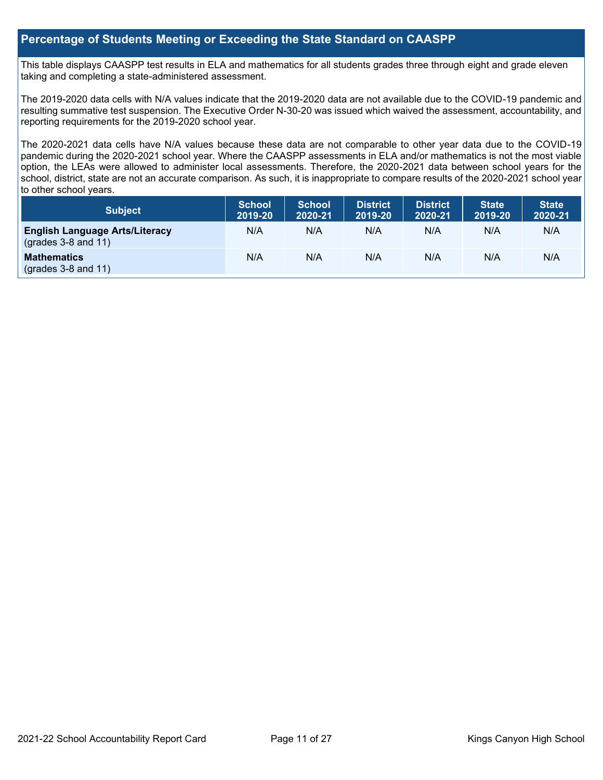### **Percentage of Students Meeting or Exceeding the State Standard on CAASPP**

This table displays CAASPP test results in ELA and mathematics for all students grades three through eight and grade eleven taking and completing a state-administered assessment.

The 2019-2020 data cells with N/A values indicate that the 2019-2020 data are not available due to the COVID-19 pandemic and resulting summative test suspension. The Executive Order N-30-20 was issued which waived the assessment, accountability, and reporting requirements for the 2019-2020 school year.

The 2020-2021 data cells have N/A values because these data are not comparable to other year data due to the COVID-19 pandemic during the 2020-2021 school year. Where the CAASPP assessments in ELA and/or mathematics is not the most viable option, the LEAs were allowed to administer local assessments. Therefore, the 2020-2021 data between school years for the school, district, state are not an accurate comparison. As such, it is inappropriate to compare results of the 2020-2021 school year to other school years.

| Subject                                                        | <b>School</b><br>2019-20 | <b>School</b><br>2020-21 | <b>District</b><br>2019-20 | <b>District</b><br>2020-21 | <b>State</b><br>2019-20 | <b>State</b><br>2020-21 |
|----------------------------------------------------------------|--------------------------|--------------------------|----------------------------|----------------------------|-------------------------|-------------------------|
| <b>English Language Arts/Literacy</b><br>$(grades 3-8 and 11)$ | N/A                      | N/A                      | N/A                        | N/A                        | N/A                     | N/A                     |
| <b>Mathematics</b><br>$(grades 3-8 and 11)$                    | N/A                      | N/A                      | N/A                        | N/A                        | N/A                     | N/A                     |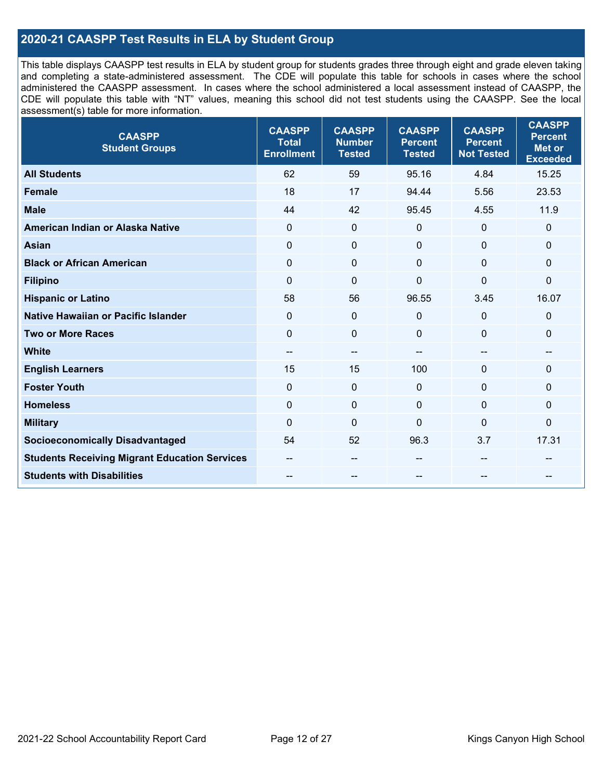### **2020-21 CAASPP Test Results in ELA by Student Group**

This table displays CAASPP test results in ELA by student group for students grades three through eight and grade eleven taking and completing a state-administered assessment. The CDE will populate this table for schools in cases where the school administered the CAASPP assessment. In cases where the school administered a local assessment instead of CAASPP, the CDE will populate this table with "NT" values, meaning this school did not test students using the CAASPP. See the local assessment(s) table for more information.

| <b>CAASPP</b><br><b>Student Groups</b>               | <b>CAASPP</b><br><b>Total</b><br><b>Enrollment</b> | <b>CAASPP</b><br><b>Number</b><br><b>Tested</b> | <b>CAASPP</b><br><b>Percent</b><br><b>Tested</b> | <b>CAASPP</b><br><b>Percent</b><br><b>Not Tested</b> | <b>CAASPP</b><br><b>Percent</b><br>Met or<br><b>Exceeded</b> |
|------------------------------------------------------|----------------------------------------------------|-------------------------------------------------|--------------------------------------------------|------------------------------------------------------|--------------------------------------------------------------|
| <b>All Students</b>                                  | 62                                                 | 59                                              | 95.16                                            | 4.84                                                 | 15.25                                                        |
| <b>Female</b>                                        | 18                                                 | 17                                              | 94.44                                            | 5.56                                                 | 23.53                                                        |
| <b>Male</b>                                          | 44                                                 | 42                                              | 95.45                                            | 4.55                                                 | 11.9                                                         |
| American Indian or Alaska Native                     | $\mathbf 0$                                        | $\mathbf 0$                                     | $\mathbf 0$                                      | $\mathbf 0$                                          | 0                                                            |
| <b>Asian</b>                                         | 0                                                  | $\mathbf 0$                                     | $\mathbf{0}$                                     | $\mathbf 0$                                          | 0                                                            |
| <b>Black or African American</b>                     | $\mathbf 0$                                        | $\mathbf 0$                                     | $\Omega$                                         | $\Omega$                                             | 0                                                            |
| <b>Filipino</b>                                      | $\mathbf 0$                                        | $\mathbf 0$                                     | $\mathbf{0}$                                     | $\mathbf 0$                                          | 0                                                            |
| <b>Hispanic or Latino</b>                            | 58                                                 | 56                                              | 96.55                                            | 3.45                                                 | 16.07                                                        |
| <b>Native Hawaiian or Pacific Islander</b>           | $\mathbf 0$                                        | $\pmb{0}$                                       | 0                                                | $\mathbf 0$                                          | 0                                                            |
| <b>Two or More Races</b>                             | $\mathbf 0$                                        | $\mathbf 0$                                     | $\Omega$                                         | $\mathbf{0}$                                         | 0                                                            |
| <b>White</b>                                         | --                                                 | $\qquad \qquad -$                               | --                                               | $\overline{\phantom{a}}$                             | --                                                           |
| <b>English Learners</b>                              | 15                                                 | 15                                              | 100                                              | $\Omega$                                             | 0                                                            |
| <b>Foster Youth</b>                                  | $\mathbf 0$                                        | $\mathbf 0$                                     | $\mathbf{0}$                                     | $\mathbf{0}$                                         | 0                                                            |
| <b>Homeless</b>                                      | 0                                                  | $\pmb{0}$                                       | $\mathbf 0$                                      | $\mathbf 0$                                          | 0                                                            |
| <b>Military</b>                                      | $\Omega$                                           | $\pmb{0}$                                       | $\mathbf{0}$                                     | $\mathbf 0$                                          | 0                                                            |
| <b>Socioeconomically Disadvantaged</b>               | 54                                                 | 52                                              | 96.3                                             | 3.7                                                  | 17.31                                                        |
| <b>Students Receiving Migrant Education Services</b> |                                                    | --                                              |                                                  |                                                      |                                                              |
| <b>Students with Disabilities</b>                    | --                                                 | --                                              |                                                  |                                                      |                                                              |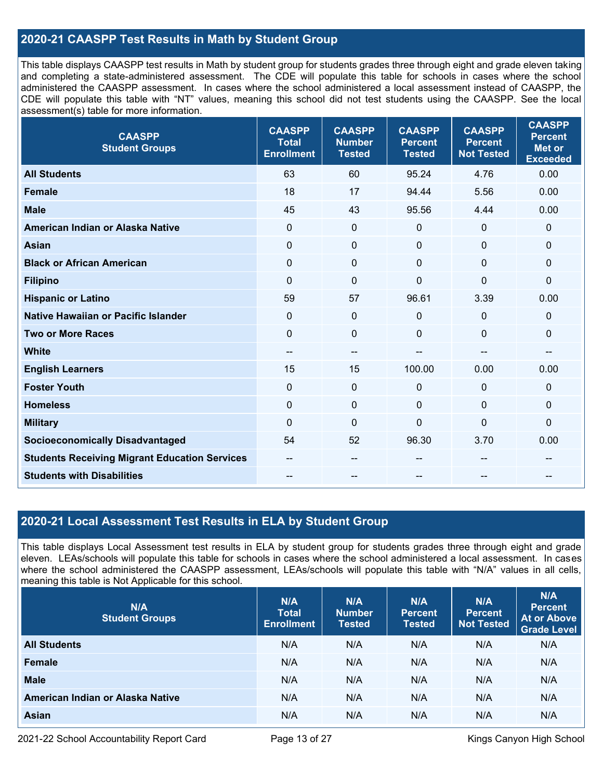### **2020-21 CAASPP Test Results in Math by Student Group**

This table displays CAASPP test results in Math by student group for students grades three through eight and grade eleven taking and completing a state-administered assessment. The CDE will populate this table for schools in cases where the school administered the CAASPP assessment. In cases where the school administered a local assessment instead of CAASPP, the CDE will populate this table with "NT" values, meaning this school did not test students using the CAASPP. See the local assessment(s) table for more information.

| <b>CAASPP</b><br><b>Student Groups</b>               | <b>CAASPP</b><br><b>Total</b><br><b>Enrollment</b> | <b>CAASPP</b><br><b>Number</b><br><b>Tested</b> | <b>CAASPP</b><br><b>Percent</b><br><b>Tested</b> | <b>CAASPP</b><br><b>Percent</b><br><b>Not Tested</b> | <b>CAASPP</b><br><b>Percent</b><br><b>Met or</b><br><b>Exceeded</b> |
|------------------------------------------------------|----------------------------------------------------|-------------------------------------------------|--------------------------------------------------|------------------------------------------------------|---------------------------------------------------------------------|
| <b>All Students</b>                                  | 63                                                 | 60                                              | 95.24                                            | 4.76                                                 | 0.00                                                                |
| <b>Female</b>                                        | 18                                                 | 17                                              | 94.44                                            | 5.56                                                 | 0.00                                                                |
| <b>Male</b>                                          | 45                                                 | 43                                              | 95.56                                            | 4.44                                                 | 0.00                                                                |
| American Indian or Alaska Native                     | $\mathbf 0$                                        | $\mathbf 0$                                     | $\mathbf 0$                                      | 0                                                    | $\mathbf 0$                                                         |
| <b>Asian</b>                                         | $\mathbf 0$                                        | $\pmb{0}$                                       | $\mathbf{0}$                                     | 0                                                    | $\pmb{0}$                                                           |
| <b>Black or African American</b>                     | $\mathbf 0$                                        | $\mathbf 0$                                     | $\mathbf 0$                                      | $\Omega$                                             | $\mathbf 0$                                                         |
| <b>Filipino</b>                                      | $\mathbf 0$                                        | $\mathbf 0$                                     | $\mathbf{0}$                                     | $\Omega$                                             | $\mathbf 0$                                                         |
| <b>Hispanic or Latino</b>                            | 59                                                 | 57                                              | 96.61                                            | 3.39                                                 | 0.00                                                                |
| Native Hawaiian or Pacific Islander                  | $\mathbf 0$                                        | $\pmb{0}$                                       | $\mathbf 0$                                      | 0                                                    | $\mathbf 0$                                                         |
| <b>Two or More Races</b>                             | $\mathbf 0$                                        | $\pmb{0}$                                       | $\mathbf 0$                                      | 0                                                    | $\mathbf 0$                                                         |
| <b>White</b>                                         | $\overline{\phantom{m}}$                           | $\sim$                                          | --                                               | --                                                   | --                                                                  |
| <b>English Learners</b>                              | 15                                                 | 15                                              | 100.00                                           | 0.00                                                 | 0.00                                                                |
| <b>Foster Youth</b>                                  | $\mathbf{0}$                                       | $\mathbf 0$                                     | $\mathbf 0$                                      | $\Omega$                                             | $\mathbf 0$                                                         |
| <b>Homeless</b>                                      | $\mathbf{0}$                                       | $\mathbf 0$                                     | $\mathbf 0$                                      | $\Omega$                                             | $\mathbf 0$                                                         |
| <b>Military</b>                                      | $\mathbf{0}$                                       | $\mathbf 0$                                     | $\mathbf 0$                                      | $\overline{0}$                                       | $\mathbf 0$                                                         |
| <b>Socioeconomically Disadvantaged</b>               | 54                                                 | 52                                              | 96.30                                            | 3.70                                                 | 0.00                                                                |
| <b>Students Receiving Migrant Education Services</b> |                                                    | --                                              |                                                  |                                                      |                                                                     |
| <b>Students with Disabilities</b>                    |                                                    |                                                 |                                                  |                                                      |                                                                     |

### **2020-21 Local Assessment Test Results in ELA by Student Group**

This table displays Local Assessment test results in ELA by student group for students grades three through eight and grade eleven. LEAs/schools will populate this table for schools in cases where the school administered a local assessment. In cases where the school administered the CAASPP assessment, LEAs/schools will populate this table with "N/A" values in all cells, meaning this table is Not Applicable for this school.

| N/A<br><b>Student Groups</b>     | N/A<br><b>Total</b><br><b>Enrollment</b> | N/A<br><b>Number</b><br><b>Tested</b> | N/A<br><b>Percent</b><br><b>Tested</b> | N/A<br>Percent<br><b>Not Tested</b> | N/A<br><b>Percent</b><br><b>At or Above</b><br><b>Grade Level</b> |
|----------------------------------|------------------------------------------|---------------------------------------|----------------------------------------|-------------------------------------|-------------------------------------------------------------------|
| <b>All Students</b>              | N/A                                      | N/A                                   | N/A                                    | N/A                                 | N/A                                                               |
| Female                           | N/A                                      | N/A                                   | N/A                                    | N/A                                 | N/A                                                               |
| <b>Male</b>                      | N/A                                      | N/A                                   | N/A                                    | N/A                                 | N/A                                                               |
| American Indian or Alaska Native | N/A                                      | N/A                                   | N/A                                    | N/A                                 | N/A                                                               |
| <b>Asian</b>                     | N/A                                      | N/A                                   | N/A                                    | N/A                                 | N/A                                                               |

2021-22 School Accountability Report Card **Page 13 of 27** All Page 13 of 27 Kings Canyon High School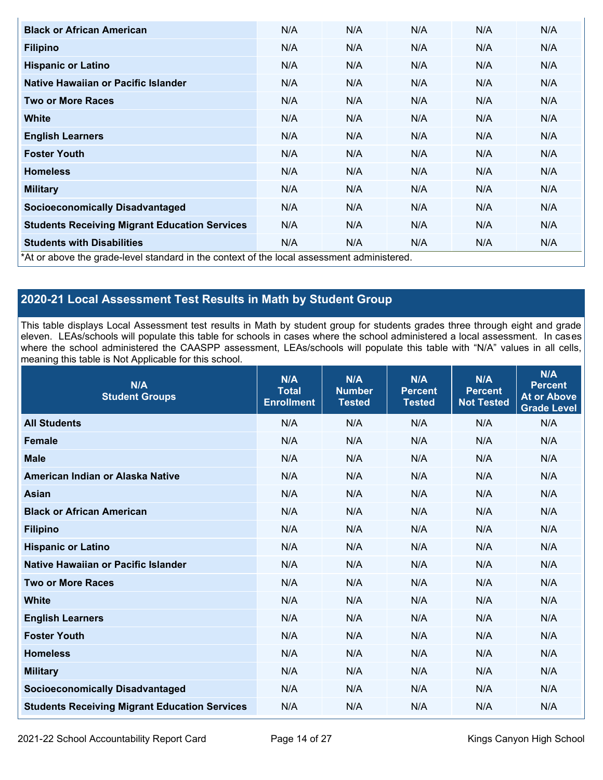| <b>Black or African American</b>                                                          | N/A | N/A | N/A | N/A | N/A |
|-------------------------------------------------------------------------------------------|-----|-----|-----|-----|-----|
| <b>Filipino</b>                                                                           | N/A | N/A | N/A | N/A | N/A |
| <b>Hispanic or Latino</b>                                                                 | N/A | N/A | N/A | N/A | N/A |
| Native Hawaiian or Pacific Islander                                                       | N/A | N/A | N/A | N/A | N/A |
| <b>Two or More Races</b>                                                                  | N/A | N/A | N/A | N/A | N/A |
| White                                                                                     | N/A | N/A | N/A | N/A | N/A |
| <b>English Learners</b>                                                                   | N/A | N/A | N/A | N/A | N/A |
| <b>Foster Youth</b>                                                                       | N/A | N/A | N/A | N/A | N/A |
| <b>Homeless</b>                                                                           | N/A | N/A | N/A | N/A | N/A |
| <b>Military</b>                                                                           | N/A | N/A | N/A | N/A | N/A |
| <b>Socioeconomically Disadvantaged</b>                                                    | N/A | N/A | N/A | N/A | N/A |
| <b>Students Receiving Migrant Education Services</b>                                      | N/A | N/A | N/A | N/A | N/A |
| <b>Students with Disabilities</b>                                                         | N/A | N/A | N/A | N/A | N/A |
| *At or above the grade-level standard in the context of the local assessment administered |     |     |     |     |     |

\*At or above the grade-level standard in the context of the local assessment administered.

## **2020-21 Local Assessment Test Results in Math by Student Group**

This table displays Local Assessment test results in Math by student group for students grades three through eight and grade eleven. LEAs/schools will populate this table for schools in cases where the school administered a local assessment. In cases where the school administered the CAASPP assessment, LEAs/schools will populate this table with "N/A" values in all cells, meaning this table is Not Applicable for this school.

| N/A<br><b>Student Groups</b>                         | N/A<br><b>Total</b><br><b>Enrollment</b> | N/A<br><b>Number</b><br><b>Tested</b> | N/A<br><b>Percent</b><br><b>Tested</b> | N/A<br><b>Percent</b><br><b>Not Tested</b> | N/A<br><b>Percent</b><br><b>At or Above</b><br><b>Grade Level</b> |
|------------------------------------------------------|------------------------------------------|---------------------------------------|----------------------------------------|--------------------------------------------|-------------------------------------------------------------------|
| <b>All Students</b>                                  | N/A                                      | N/A                                   | N/A                                    | N/A                                        | N/A                                                               |
| <b>Female</b>                                        | N/A                                      | N/A                                   | N/A                                    | N/A                                        | N/A                                                               |
| <b>Male</b>                                          | N/A                                      | N/A                                   | N/A                                    | N/A                                        | N/A                                                               |
| American Indian or Alaska Native                     | N/A                                      | N/A                                   | N/A                                    | N/A                                        | N/A                                                               |
| <b>Asian</b>                                         | N/A                                      | N/A                                   | N/A                                    | N/A                                        | N/A                                                               |
| <b>Black or African American</b>                     | N/A                                      | N/A                                   | N/A                                    | N/A                                        | N/A                                                               |
| <b>Filipino</b>                                      | N/A                                      | N/A                                   | N/A                                    | N/A                                        | N/A                                                               |
| <b>Hispanic or Latino</b>                            | N/A                                      | N/A                                   | N/A                                    | N/A                                        | N/A                                                               |
| Native Hawaiian or Pacific Islander                  | N/A                                      | N/A                                   | N/A                                    | N/A                                        | N/A                                                               |
| <b>Two or More Races</b>                             | N/A                                      | N/A                                   | N/A                                    | N/A                                        | N/A                                                               |
| <b>White</b>                                         | N/A                                      | N/A                                   | N/A                                    | N/A                                        | N/A                                                               |
| <b>English Learners</b>                              | N/A                                      | N/A                                   | N/A                                    | N/A                                        | N/A                                                               |
| <b>Foster Youth</b>                                  | N/A                                      | N/A                                   | N/A                                    | N/A                                        | N/A                                                               |
| <b>Homeless</b>                                      | N/A                                      | N/A                                   | N/A                                    | N/A                                        | N/A                                                               |
| <b>Military</b>                                      | N/A                                      | N/A                                   | N/A                                    | N/A                                        | N/A                                                               |
| <b>Socioeconomically Disadvantaged</b>               | N/A                                      | N/A                                   | N/A                                    | N/A                                        | N/A                                                               |
| <b>Students Receiving Migrant Education Services</b> | N/A                                      | N/A                                   | N/A                                    | N/A                                        | N/A                                                               |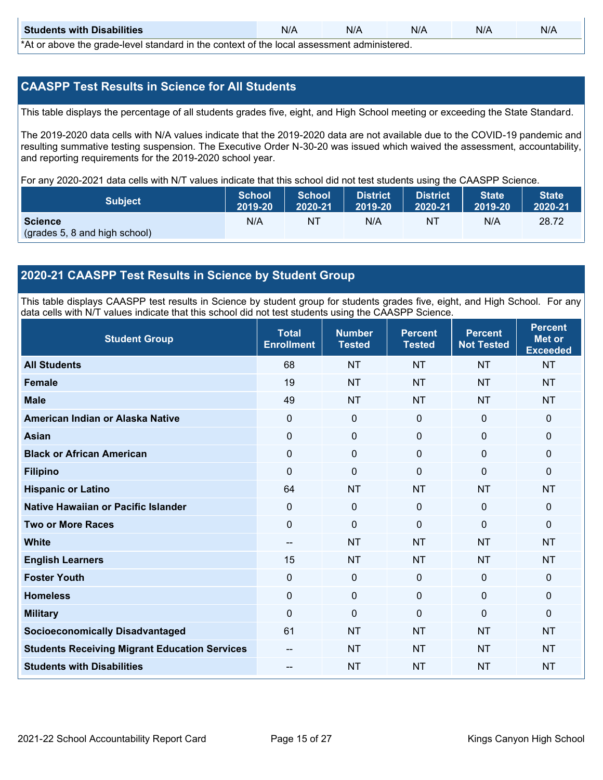| <b>Students with Disabilities</b>                                                           | N/A | N/A | N/A | N/A | N/A |  |
|---------------------------------------------------------------------------------------------|-----|-----|-----|-----|-----|--|
| *At as above the escale level standard in the context of the local accordinate admissioned. |     |     |     |     |     |  |

\*At or above the grade-level standard in the context of the local assessment administered.

### **CAASPP Test Results in Science for All Students**

This table displays the percentage of all students grades five, eight, and High School meeting or exceeding the State Standard.

The 2019-2020 data cells with N/A values indicate that the 2019-2020 data are not available due to the COVID-19 pandemic and resulting summative testing suspension. The Executive Order N-30-20 was issued which waived the assessment, accountability, and reporting requirements for the 2019-2020 school year.

For any 2020-2021 data cells with N/T values indicate that this school did not test students using the CAASPP Science.

| <b>Subject</b>                | <b>School</b><br>2019-20 | <b>School</b><br>2020-21 | <b>District</b><br>12019-20 | District<br>2020-21 | <b>State</b><br>2019-20 | <b>State</b><br>2020-21 |
|-------------------------------|--------------------------|--------------------------|-----------------------------|---------------------|-------------------------|-------------------------|
| <b>Science</b>                | N/A                      | NT                       | N/A                         | NT.                 | N/A                     | 28.72                   |
| (grades 5, 8 and high school) |                          |                          |                             |                     |                         |                         |

### **2020-21 CAASPP Test Results in Science by Student Group**

This table displays CAASPP test results in Science by student group for students grades five, eight, and High School. For any data cells with N/T values indicate that this school did not test students using the CAASPP Science.

| <b>Student Group</b>                                 | <b>Total</b><br><b>Enrollment</b> | <b>Number</b><br><b>Tested</b> | <b>Percent</b><br><b>Tested</b> | <b>Percent</b><br><b>Not Tested</b> | <b>Percent</b><br><b>Met or</b><br><b>Exceeded</b> |
|------------------------------------------------------|-----------------------------------|--------------------------------|---------------------------------|-------------------------------------|----------------------------------------------------|
| <b>All Students</b>                                  | 68                                | <b>NT</b>                      | <b>NT</b>                       | <b>NT</b>                           | <b>NT</b>                                          |
| <b>Female</b>                                        | 19                                | <b>NT</b>                      | <b>NT</b>                       | <b>NT</b>                           | <b>NT</b>                                          |
| <b>Male</b>                                          | 49                                | <b>NT</b>                      | <b>NT</b>                       | <b>NT</b>                           | <b>NT</b>                                          |
| American Indian or Alaska Native                     | $\Omega$                          | $\mathbf 0$                    | $\mathbf 0$                     | $\overline{0}$                      | $\mathbf 0$                                        |
| <b>Asian</b>                                         | 0                                 | $\pmb{0}$                      | $\mathbf 0$                     | 0                                   | $\mathbf 0$                                        |
| <b>Black or African American</b>                     | 0                                 | $\mathbf 0$                    | $\mathbf 0$                     | 0                                   | $\mathbf 0$                                        |
| <b>Filipino</b>                                      | $\Omega$                          | 0                              | $\Omega$                        | $\Omega$                            | $\mathbf 0$                                        |
| <b>Hispanic or Latino</b>                            | 64                                | <b>NT</b>                      | <b>NT</b>                       | <b>NT</b>                           | <b>NT</b>                                          |
| Native Hawaiian or Pacific Islander                  | 0                                 | $\mathbf 0$                    | $\Omega$                        | 0                                   | $\mathbf{0}$                                       |
| <b>Two or More Races</b>                             | $\Omega$                          | $\mathbf 0$                    | $\Omega$                        | $\mathbf{0}$                        | $\mathbf{0}$                                       |
| <b>White</b>                                         | $\overline{\phantom{a}}$          | <b>NT</b>                      | <b>NT</b>                       | <b>NT</b>                           | <b>NT</b>                                          |
| <b>English Learners</b>                              | 15                                | <b>NT</b>                      | <b>NT</b>                       | <b>NT</b>                           | <b>NT</b>                                          |
| <b>Foster Youth</b>                                  | 0                                 | $\mathbf 0$                    | $\mathbf 0$                     | $\mathbf{0}$                        | $\mathbf{0}$                                       |
| <b>Homeless</b>                                      | 0                                 | $\mathbf 0$                    | $\mathbf 0$                     | 0                                   | $\mathbf 0$                                        |
| <b>Military</b>                                      | $\Omega$                          | 0                              | $\Omega$                        | $\Omega$                            | $\mathbf{0}$                                       |
| <b>Socioeconomically Disadvantaged</b>               | 61                                | <b>NT</b>                      | <b>NT</b>                       | <b>NT</b>                           | <b>NT</b>                                          |
| <b>Students Receiving Migrant Education Services</b> |                                   | <b>NT</b>                      | <b>NT</b>                       | <b>NT</b>                           | <b>NT</b>                                          |
| <b>Students with Disabilities</b>                    | --                                | <b>NT</b>                      | <b>NT</b>                       | <b>NT</b>                           | <b>NT</b>                                          |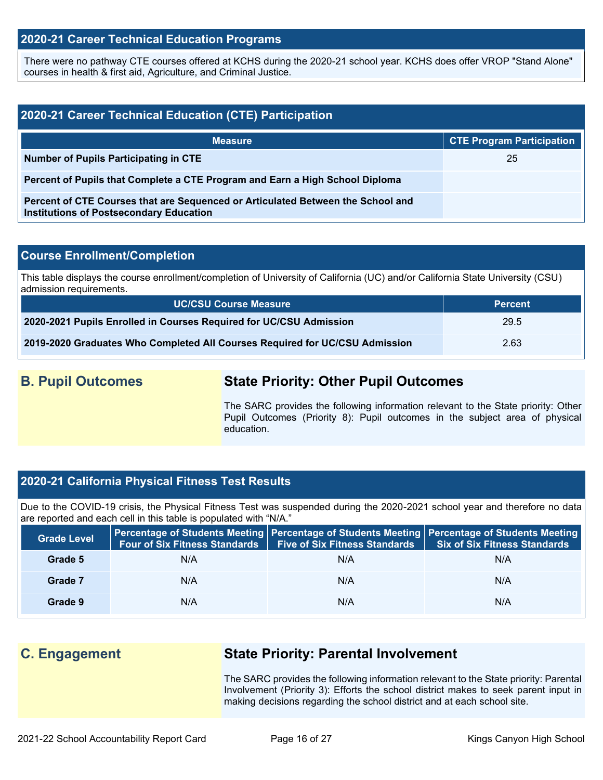### **2020-21 Career Technical Education Programs**

There were no pathway CTE courses offered at KCHS during the 2020-21 school year. KCHS does offer VROP "Stand Alone" courses in health & first aid, Agriculture, and Criminal Justice.

| 2020-21 Career Technical Education (CTE) Participation                                                                            |                                  |  |  |  |  |
|-----------------------------------------------------------------------------------------------------------------------------------|----------------------------------|--|--|--|--|
| <b>Measure</b>                                                                                                                    | <b>CTE Program Participation</b> |  |  |  |  |
| <b>Number of Pupils Participating in CTE</b>                                                                                      | 25                               |  |  |  |  |
| Percent of Pupils that Complete a CTE Program and Earn a High School Diploma                                                      |                                  |  |  |  |  |
| Percent of CTE Courses that are Sequenced or Articulated Between the School and<br><b>Institutions of Postsecondary Education</b> |                                  |  |  |  |  |

### **Course Enrollment/Completion**

This table displays the course enrollment/completion of University of California (UC) and/or California State University (CSU) admission requirements.

| <b>UC/CSU Course Measure</b>                                                | <b>Percent</b> |
|-----------------------------------------------------------------------------|----------------|
| 2020-2021 Pupils Enrolled in Courses Required for UC/CSU Admission          | 29.5           |
| 2019-2020 Graduates Who Completed All Courses Required for UC/CSU Admission | 2.63           |

## **B. Pupil Outcomes State Priority: Other Pupil Outcomes**

The SARC provides the following information relevant to the State priority: Other Pupil Outcomes (Priority 8): Pupil outcomes in the subject area of physical education.

### **2020-21 California Physical Fitness Test Results**

Due to the COVID-19 crisis, the Physical Fitness Test was suspended during the 2020-2021 school year and therefore no data are reported and each cell in this table is populated with "N/A."

| <b>Grade Level</b> | <b>Four of Six Fitness Standards</b> | <b>Five of Six Fitness Standards</b> | Percentage of Students Meeting   Percentage of Students Meeting   Percentage of Students Meeting<br>Six of Six Fitness Standards |
|--------------------|--------------------------------------|--------------------------------------|----------------------------------------------------------------------------------------------------------------------------------|
| Grade 5            | N/A                                  | N/A                                  | N/A                                                                                                                              |
| Grade 7            | N/A                                  | N/A                                  | N/A                                                                                                                              |
| Grade 9            | N/A                                  | N/A                                  | N/A                                                                                                                              |

## **C. Engagement State Priority: Parental Involvement**

The SARC provides the following information relevant to the State priority: Parental Involvement (Priority 3): Efforts the school district makes to seek parent input in making decisions regarding the school district and at each school site.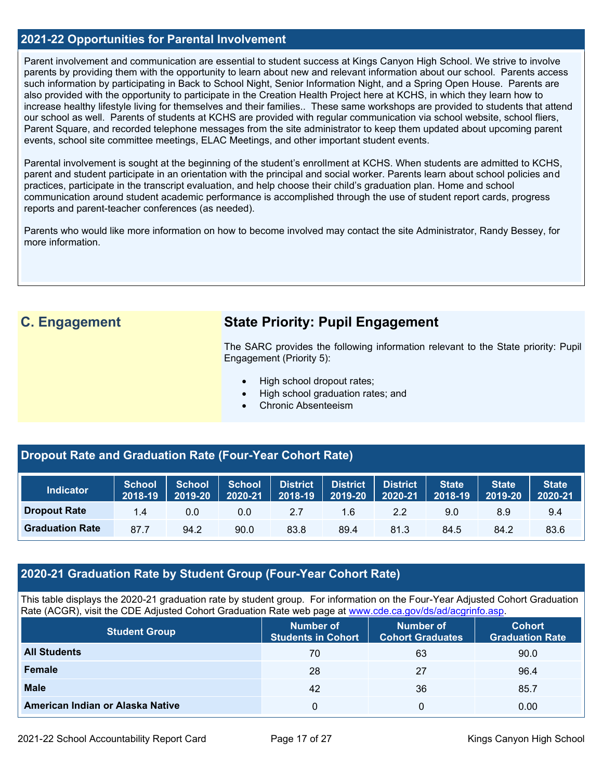### **2021-22 Opportunities for Parental Involvement**

Parent involvement and communication are essential to student success at Kings Canyon High School. We strive to involve parents by providing them with the opportunity to learn about new and relevant information about our school. Parents access such information by participating in Back to School Night, Senior Information Night, and a Spring Open House. Parents are also provided with the opportunity to participate in the Creation Health Project here at KCHS, in which they learn how to increase healthy lifestyle living for themselves and their families.. These same workshops are provided to students that attend our school as well. Parents of students at KCHS are provided with regular communication via school website, school fliers, Parent Square, and recorded telephone messages from the site administrator to keep them updated about upcoming parent events, school site committee meetings, ELAC Meetings, and other important student events.

Parental involvement is sought at the beginning of the student's enrollment at KCHS. When students are admitted to KCHS, parent and student participate in an orientation with the principal and social worker. Parents learn about school policies and practices, participate in the transcript evaluation, and help choose their child's graduation plan. Home and school communication around student academic performance is accomplished through the use of student report cards, progress reports and parent-teacher conferences (as needed).

Parents who would like more information on how to become involved may contact the site Administrator, Randy Bessey, for more information.

# **C. Engagement State Priority: Pupil Engagement**

The SARC provides the following information relevant to the State priority: Pupil Engagement (Priority 5):

- High school dropout rates;
- High school graduation rates; and
- Chronic Absenteeism

### **Dropout Rate and Graduation Rate (Four-Year Cohort Rate)**

| <b>Indicator</b>       | School<br>2018-19 | <b>School</b><br>2019-20 | School<br>2020-21 | District<br>$2018 - 19$ | District<br>2019-20 | <b>District</b><br>2020-21 | State<br>2018-19 | <b>State</b><br>2019-20 | <b>State</b><br>2020-21 |
|------------------------|-------------------|--------------------------|-------------------|-------------------------|---------------------|----------------------------|------------------|-------------------------|-------------------------|
| <b>Dropout Rate</b>    | 1.4               | 0.0                      | 0.0               | 2.7                     | 1.6                 | 2.2                        | 9.0              | 8.9                     | 9.4                     |
| <b>Graduation Rate</b> | 87.7              | 94.2                     | 90.0              | 83.8                    | 89.4                | 81.3                       | 84.5             | 84.2                    | 83.6                    |

### **2020-21 Graduation Rate by Student Group (Four-Year Cohort Rate)**

This table displays the 2020-21 graduation rate by student group. For information on the Four-Year Adjusted Cohort Graduation Rate (ACGR), visit the CDE Adjusted Cohort Graduation Rate web page at [www.cde.ca.gov/ds/ad/acgrinfo.asp.](http://www.cde.ca.gov/ds/ad/acgrinfo.asp)

| <b>Student Group</b>             | <b>Number of</b><br><b>Students in Cohort</b> | Number of<br><b>Cohort Graduates</b> | <b>Cohort</b><br><b>Graduation Rate</b> |
|----------------------------------|-----------------------------------------------|--------------------------------------|-----------------------------------------|
| <b>All Students</b>              | 70                                            | 63                                   | 90.0                                    |
| <b>Female</b>                    | 28                                            | 27                                   | 96.4                                    |
| <b>Male</b>                      | 42                                            | 36                                   | 85.7                                    |
| American Indian or Alaska Native | 0                                             |                                      | 0.00                                    |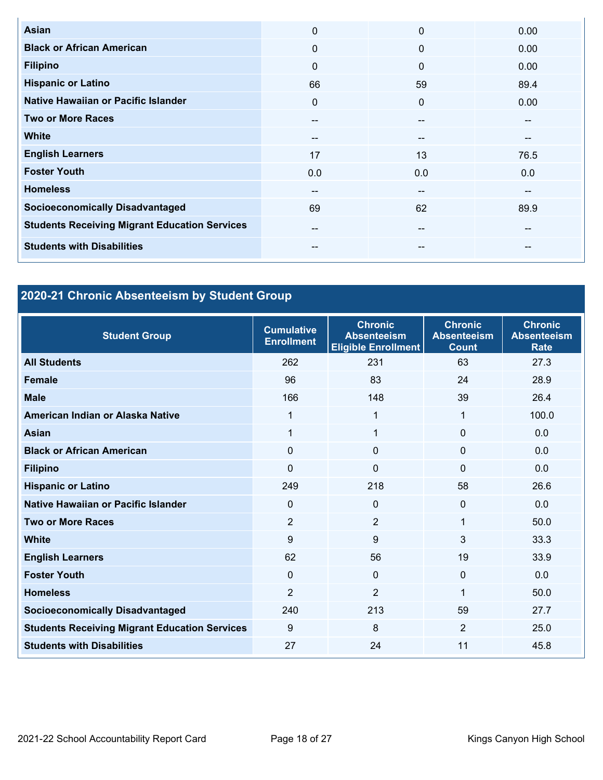| <b>Asian</b>                                         | $\mathbf 0$ | $\Omega$ | 0.00 |
|------------------------------------------------------|-------------|----------|------|
| <b>Black or African American</b>                     | $\Omega$    | $\Omega$ | 0.00 |
| <b>Filipino</b>                                      | $\Omega$    | $\Omega$ | 0.00 |
| <b>Hispanic or Latino</b>                            | 66          | 59       | 89.4 |
| Native Hawaiian or Pacific Islander                  | $\Omega$    | $\Omega$ | 0.00 |
| <b>Two or More Races</b>                             | --          | --       | --   |
| <b>White</b>                                         | $- -$       | --       | --   |
| <b>English Learners</b>                              | 17          | 13       | 76.5 |
| <b>Foster Youth</b>                                  | 0.0         | 0.0      | 0.0  |
| <b>Homeless</b>                                      | --          | --       | --   |
| <b>Socioeconomically Disadvantaged</b>               | 69          | 62       | 89.9 |
| <b>Students Receiving Migrant Education Services</b> | --          | --       | --   |
| <b>Students with Disabilities</b>                    | --          | --       | --   |

# **2020-21 Chronic Absenteeism by Student Group**

| <b>Student Group</b>                                 | <b>Cumulative</b><br><b>Enrollment</b> | <b>Chronic</b><br><b>Absenteeism</b><br><b>Eligible Enrollment</b> | <b>Chronic</b><br><b>Absenteeism</b><br><b>Count</b> | <b>Chronic</b><br><b>Absenteeism</b><br><b>Rate</b> |
|------------------------------------------------------|----------------------------------------|--------------------------------------------------------------------|------------------------------------------------------|-----------------------------------------------------|
| <b>All Students</b>                                  | 262                                    | 231                                                                | 63                                                   | 27.3                                                |
| <b>Female</b>                                        | 96                                     | 83                                                                 | 24                                                   | 28.9                                                |
| <b>Male</b>                                          | 166                                    | 148                                                                | 39                                                   | 26.4                                                |
| American Indian or Alaska Native                     | 1                                      | 1                                                                  | 1                                                    | 100.0                                               |
| <b>Asian</b>                                         | 1                                      | 1                                                                  | $\Omega$                                             | 0.0                                                 |
| <b>Black or African American</b>                     | $\Omega$                               | $\mathbf 0$                                                        | 0                                                    | 0.0                                                 |
| <b>Filipino</b>                                      | $\mathbf 0$                            | $\mathbf{0}$                                                       | $\mathbf{0}$                                         | 0.0                                                 |
| <b>Hispanic or Latino</b>                            | 249                                    | 218                                                                | 58                                                   | 26.6                                                |
| Native Hawaiian or Pacific Islander                  | $\mathbf{0}$                           | $\mathbf{0}$                                                       | 0                                                    | 0.0                                                 |
| <b>Two or More Races</b>                             | $\overline{2}$                         | $\overline{2}$                                                     | 1                                                    | 50.0                                                |
| <b>White</b>                                         | 9                                      | 9                                                                  | 3                                                    | 33.3                                                |
| <b>English Learners</b>                              | 62                                     | 56                                                                 | 19                                                   | 33.9                                                |
| <b>Foster Youth</b>                                  | $\Omega$                               | $\mathbf 0$                                                        | $\Omega$                                             | 0.0                                                 |
| <b>Homeless</b>                                      | $\overline{2}$                         | $\overline{2}$                                                     | 1                                                    | 50.0                                                |
| <b>Socioeconomically Disadvantaged</b>               | 240                                    | 213                                                                | 59                                                   | 27.7                                                |
| <b>Students Receiving Migrant Education Services</b> | 9                                      | 8                                                                  | 2                                                    | 25.0                                                |
| <b>Students with Disabilities</b>                    | 27                                     | 24                                                                 | 11                                                   | 45.8                                                |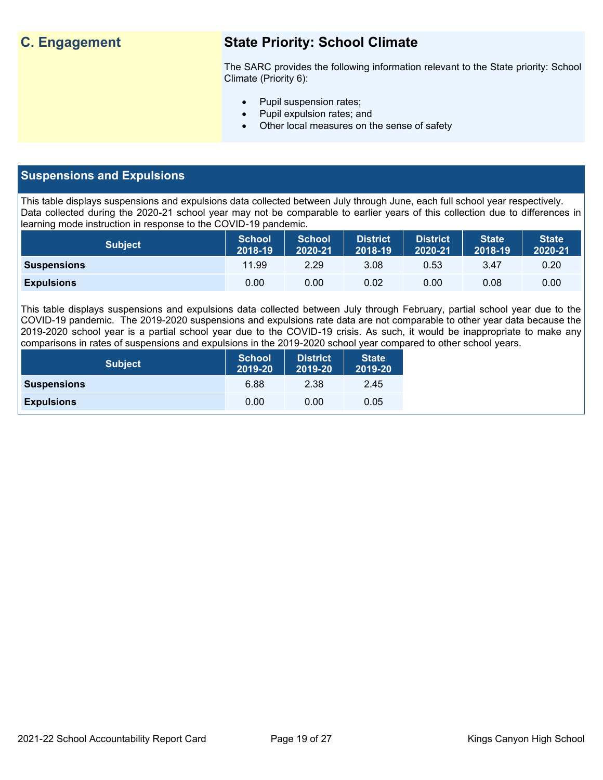# **C. Engagement State Priority: School Climate**

The SARC provides the following information relevant to the State priority: School Climate (Priority 6):

- Pupil suspension rates;
- Pupil expulsion rates; and
- Other local measures on the sense of safety

### **Suspensions and Expulsions**

This table displays suspensions and expulsions data collected between July through June, each full school year respectively. Data collected during the 2020-21 school year may not be comparable to earlier years of this collection due to differences in learning mode instruction in response to the COVID-19 pandemic.

| <b>Subject</b>     | <b>School</b><br>2018-19 | <b>School</b><br>2020-21 | <b>District</b><br>2018-19 | <b>District</b><br>2020-21 | <b>State</b><br>2018-19 | <b>State</b><br>2020-21 |
|--------------------|--------------------------|--------------------------|----------------------------|----------------------------|-------------------------|-------------------------|
| <b>Suspensions</b> | 11.99                    | 2.29                     | 3.08                       | 0.53                       | 3.47                    | 0.20                    |
| <b>Expulsions</b>  | 0.00                     | 0.00                     | 0.02                       | 0.00                       | 0.08                    | 0.00                    |

This table displays suspensions and expulsions data collected between July through February, partial school year due to the COVID-19 pandemic. The 2019-2020 suspensions and expulsions rate data are not comparable to other year data because the 2019-2020 school year is a partial school year due to the COVID-19 crisis. As such, it would be inappropriate to make any comparisons in rates of suspensions and expulsions in the 2019-2020 school year compared to other school years.

| <b>Subject</b>     | <b>School</b><br>2019-20 | <b>District</b><br>2019-20 | <b>State</b><br>2019-20 |
|--------------------|--------------------------|----------------------------|-------------------------|
| <b>Suspensions</b> | 6.88                     | 2.38                       | 2.45                    |
| <b>Expulsions</b>  | 0.00                     | 0.00                       | 0.05                    |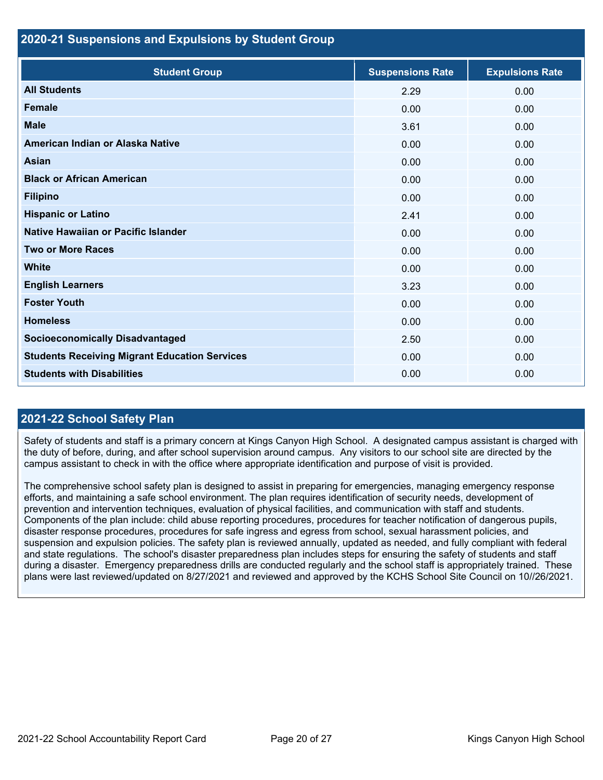### **2020-21 Suspensions and Expulsions by Student Group**

| <b>Student Group</b>                                 | <b>Suspensions Rate</b> | <b>Expulsions Rate</b> |
|------------------------------------------------------|-------------------------|------------------------|
| <b>All Students</b>                                  | 2.29                    | 0.00                   |
| <b>Female</b>                                        | 0.00                    | 0.00                   |
| <b>Male</b>                                          | 3.61                    | 0.00                   |
| American Indian or Alaska Native                     | 0.00                    | 0.00                   |
| <b>Asian</b>                                         | 0.00                    | 0.00                   |
| <b>Black or African American</b>                     | 0.00                    | 0.00                   |
| <b>Filipino</b>                                      | 0.00                    | 0.00                   |
| <b>Hispanic or Latino</b>                            | 2.41                    | 0.00                   |
| <b>Native Hawaiian or Pacific Islander</b>           | 0.00                    | 0.00                   |
| <b>Two or More Races</b>                             | 0.00                    | 0.00                   |
| <b>White</b>                                         | 0.00                    | 0.00                   |
| <b>English Learners</b>                              | 3.23                    | 0.00                   |
| <b>Foster Youth</b>                                  | 0.00                    | 0.00                   |
| <b>Homeless</b>                                      | 0.00                    | 0.00                   |
| <b>Socioeconomically Disadvantaged</b>               | 2.50                    | 0.00                   |
| <b>Students Receiving Migrant Education Services</b> | 0.00                    | 0.00                   |
| <b>Students with Disabilities</b>                    | 0.00                    | 0.00                   |

### **2021-22 School Safety Plan**

Safety of students and staff is a primary concern at Kings Canyon High School. A designated campus assistant is charged with the duty of before, during, and after school supervision around campus. Any visitors to our school site are directed by the campus assistant to check in with the office where appropriate identification and purpose of visit is provided.

The comprehensive school safety plan is designed to assist in preparing for emergencies, managing emergency response efforts, and maintaining a safe school environment. The plan requires identification of security needs, development of prevention and intervention techniques, evaluation of physical facilities, and communication with staff and students. Components of the plan include: child abuse reporting procedures, procedures for teacher notification of dangerous pupils, disaster response procedures, procedures for safe ingress and egress from school, sexual harassment policies, and suspension and expulsion policies. The safety plan is reviewed annually, updated as needed, and fully compliant with federal and state regulations. The school's disaster preparedness plan includes steps for ensuring the safety of students and staff during a disaster. Emergency preparedness drills are conducted regularly and the school staff is appropriately trained. These plans were last reviewed/updated on 8/27/2021 and reviewed and approved by the KCHS School Site Council on 10//26/2021.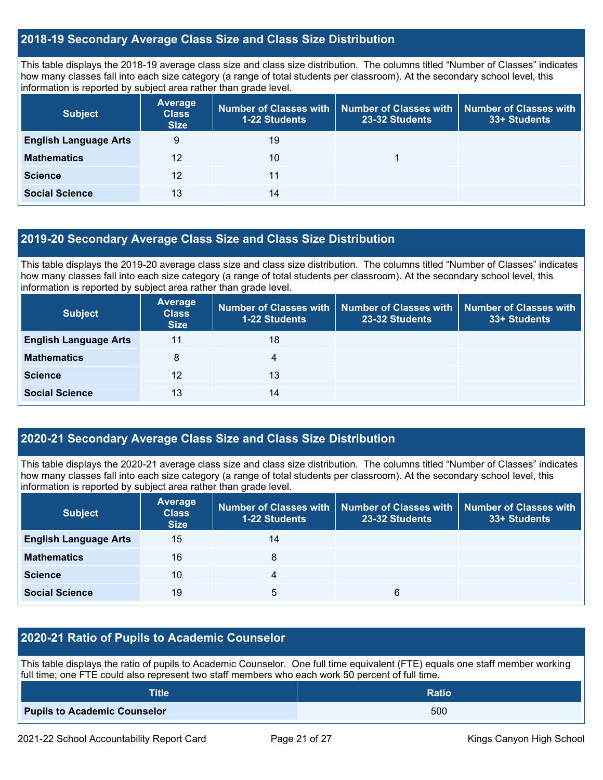### **2018-19 Secondary Average Class Size and Class Size Distribution**

This table displays the 2018-19 average class size and class size distribution. The columns titled "Number of Classes" indicates how many classes fall into each size category (a range of total students per classroom). At the secondary school level, this information is reported by subject area rather than grade level.

| <b>Subject</b>               | Average<br><b>Class</b><br><b>Size</b> | <b>1-22 Students</b> | Number of Classes with   Number of Classes with<br>23-32 Students | <b>Number of Classes with</b><br>33+ Students |
|------------------------------|----------------------------------------|----------------------|-------------------------------------------------------------------|-----------------------------------------------|
| <b>English Language Arts</b> | 9                                      | 19                   |                                                                   |                                               |
| <b>Mathematics</b>           | 12                                     | 10                   |                                                                   |                                               |
| <b>Science</b>               | 12                                     | 11                   |                                                                   |                                               |
| <b>Social Science</b>        | 13                                     | 14                   |                                                                   |                                               |

### **2019-20 Secondary Average Class Size and Class Size Distribution**

This table displays the 2019-20 average class size and class size distribution. The columns titled "Number of Classes" indicates how many classes fall into each size category (a range of total students per classroom). At the secondary school level, this information is reported by subject area rather than grade level.

| <b>Subject</b>               | Average<br><b>Class</b><br><b>Size</b> | 1-22 Students | Number of Classes with   Number of Classes with   Number of Classes with<br>23-32 Students | 33+ Students |
|------------------------------|----------------------------------------|---------------|--------------------------------------------------------------------------------------------|--------------|
| <b>English Language Arts</b> | 11                                     | 18            |                                                                                            |              |
| <b>Mathematics</b>           | 8                                      | 4             |                                                                                            |              |
| <b>Science</b>               | 12                                     | 13            |                                                                                            |              |
| <b>Social Science</b>        | 13                                     | 14            |                                                                                            |              |

### **2020-21 Secondary Average Class Size and Class Size Distribution**

This table displays the 2020-21 average class size and class size distribution. The columns titled "Number of Classes" indicates how many classes fall into each size category (a range of total students per classroom). At the secondary school level, this information is reported by subject area rather than grade level.

| <b>Subject</b>               | <b>Average</b><br><b>Class</b><br><b>Size</b> | 1-22 Students | Number of Classes with   Number of Classes with  <br>23-32 Students | <b>Number of Classes with</b><br>33+ Students |
|------------------------------|-----------------------------------------------|---------------|---------------------------------------------------------------------|-----------------------------------------------|
| <b>English Language Arts</b> | 15                                            | 14            |                                                                     |                                               |
| <b>Mathematics</b>           | 16                                            | 8             |                                                                     |                                               |
| <b>Science</b>               | 10                                            |               |                                                                     |                                               |
| <b>Social Science</b>        | 19                                            | 5             | 6                                                                   |                                               |

### **2020-21 Ratio of Pupils to Academic Counselor**

This table displays the ratio of pupils to Academic Counselor. One full time equivalent (FTE) equals one staff member working full time; one FTE could also represent two staff members who each work 50 percent of full time.

| <b>Title</b>                        | <b>Ratio</b> |
|-------------------------------------|--------------|
| <b>Pupils to Academic Counselor</b> | 500          |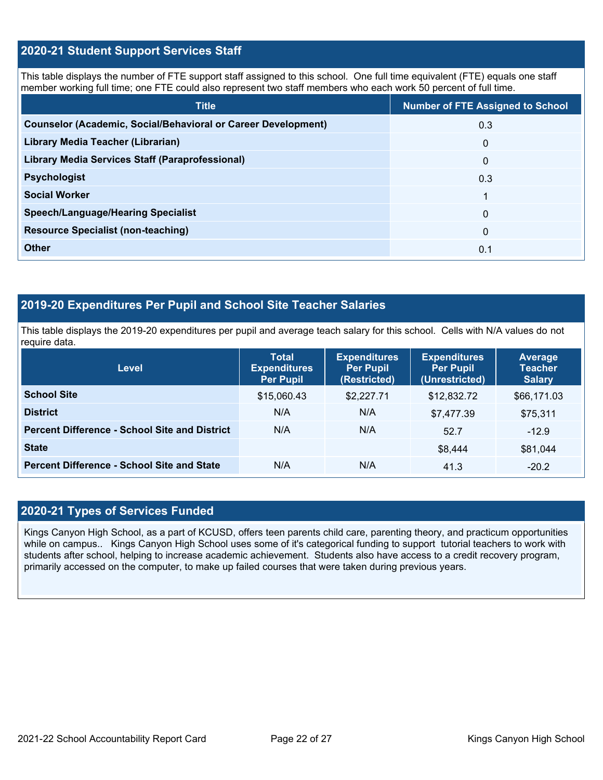### **2020-21 Student Support Services Staff**

This table displays the number of FTE support staff assigned to this school. One full time equivalent (FTE) equals one staff member working full time; one FTE could also represent two staff members who each work 50 percent of full time.

| <b>Title</b>                                                         | <b>Number of FTE Assigned to School</b> |
|----------------------------------------------------------------------|-----------------------------------------|
| <b>Counselor (Academic, Social/Behavioral or Career Development)</b> | 0.3                                     |
| Library Media Teacher (Librarian)                                    | $\mathbf{0}$                            |
| Library Media Services Staff (Paraprofessional)                      | $\mathbf{0}$                            |
| <b>Psychologist</b>                                                  | 0.3                                     |
| <b>Social Worker</b>                                                 |                                         |
| <b>Speech/Language/Hearing Specialist</b>                            | $\mathbf{0}$                            |
| <b>Resource Specialist (non-teaching)</b>                            | $\mathbf{0}$                            |
| <b>Other</b>                                                         | 0.1                                     |

### **2019-20 Expenditures Per Pupil and School Site Teacher Salaries**

This table displays the 2019-20 expenditures per pupil and average teach salary for this school. Cells with N/A values do not require data.

| <b>Level</b>                                         | <b>Total</b><br><b>Expenditures</b><br><b>Per Pupil</b> | <b>Expenditures</b><br><b>Per Pupil</b><br>(Restricted) | <b>Expenditures</b><br><b>Per Pupil</b><br>(Unrestricted) | Average<br><b>Teacher</b><br><b>Salary</b> |
|------------------------------------------------------|---------------------------------------------------------|---------------------------------------------------------|-----------------------------------------------------------|--------------------------------------------|
| <b>School Site</b>                                   | \$15,060.43                                             | \$2,227.71                                              | \$12,832.72                                               | \$66,171.03                                |
| <b>District</b>                                      | N/A                                                     | N/A                                                     | \$7,477.39                                                | \$75,311                                   |
| <b>Percent Difference - School Site and District</b> | N/A                                                     | N/A                                                     | 52.7                                                      | $-12.9$                                    |
| <b>State</b>                                         |                                                         |                                                         | \$8,444                                                   | \$81,044                                   |
| <b>Percent Difference - School Site and State</b>    | N/A                                                     | N/A                                                     | 41.3                                                      | $-20.2$                                    |

### **2020-21 Types of Services Funded**

Kings Canyon High School, as a part of KCUSD, offers teen parents child care, parenting theory, and practicum opportunities while on campus.. Kings Canyon High School uses some of it's categorical funding to support tutorial teachers to work with students after school, helping to increase academic achievement. Students also have access to a credit recovery program, primarily accessed on the computer, to make up failed courses that were taken during previous years.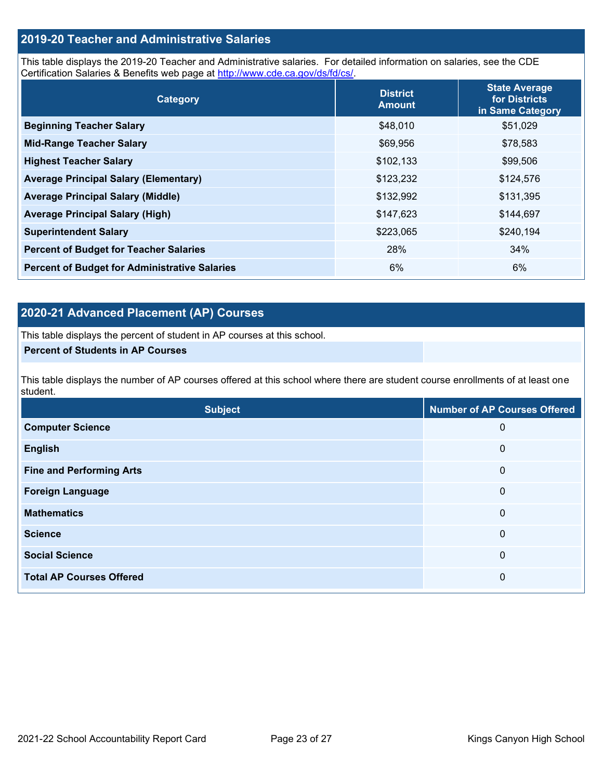### **2019-20 Teacher and Administrative Salaries**

This table displays the 2019-20 Teacher and Administrative salaries. For detailed information on salaries, see the CDE Certification Salaries & Benefits web page at [http://www.cde.ca.gov/ds/fd/cs/.](http://www.cde.ca.gov/ds/fd/cs/)

| Category                                             | <b>District</b><br><b>Amount</b> | <b>State Average</b><br>for Districts<br>in Same Category |
|------------------------------------------------------|----------------------------------|-----------------------------------------------------------|
| <b>Beginning Teacher Salary</b>                      | \$48,010                         | \$51,029                                                  |
| <b>Mid-Range Teacher Salary</b>                      | \$69,956                         | \$78,583                                                  |
| <b>Highest Teacher Salary</b>                        | \$102,133                        | \$99,506                                                  |
| <b>Average Principal Salary (Elementary)</b>         | \$123,232                        | \$124,576                                                 |
| <b>Average Principal Salary (Middle)</b>             | \$132,992                        | \$131,395                                                 |
| <b>Average Principal Salary (High)</b>               | \$147,623                        | \$144,697                                                 |
| <b>Superintendent Salary</b>                         | \$223,065                        | \$240,194                                                 |
| <b>Percent of Budget for Teacher Salaries</b>        | 28%                              | 34%                                                       |
| <b>Percent of Budget for Administrative Salaries</b> | 6%                               | 6%                                                        |

### **2020-21 Advanced Placement (AP) Courses**

This table displays the percent of student in AP courses at this school.

### **Percent of Students in AP Courses**

This table displays the number of AP courses offered at this school where there are student course enrollments of at least one student.

| <b>Subject</b>                  | <b>Number of AP Courses Offered</b> |
|---------------------------------|-------------------------------------|
| <b>Computer Science</b>         | 0                                   |
| <b>English</b>                  | $\boldsymbol{0}$                    |
| <b>Fine and Performing Arts</b> | $\mathbf 0$                         |
| <b>Foreign Language</b>         | $\mathbf 0$                         |
| <b>Mathematics</b>              | $\mathbf 0$                         |
| <b>Science</b>                  | $\mathbf 0$                         |
| <b>Social Science</b>           | $\mathbf 0$                         |
| <b>Total AP Courses Offered</b> | 0                                   |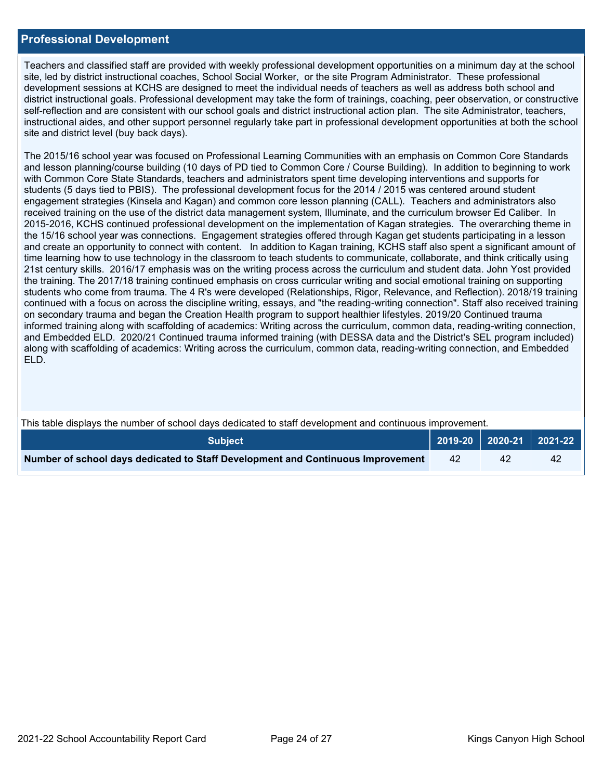### **Professional Development**

Teachers and classified staff are provided with weekly professional development opportunities on a minimum day at the school site, led by district instructional coaches, School Social Worker, or the site Program Administrator. These professional development sessions at KCHS are designed to meet the individual needs of teachers as well as address both school and district instructional goals. Professional development may take the form of trainings, coaching, peer observation, or constructive self-reflection and are consistent with our school goals and district instructional action plan. The site Administrator, teachers, instructional aides, and other support personnel regularly take part in professional development opportunities at both the school site and district level (buy back days).

The 2015/16 school year was focused on Professional Learning Communities with an emphasis on Common Core Standards and lesson planning/course building (10 days of PD tied to Common Core / Course Building). In addition to beginning to work with Common Core State Standards, teachers and administrators spent time developing interventions and supports for students (5 days tied to PBIS). The professional development focus for the 2014 / 2015 was centered around student engagement strategies (Kinsela and Kagan) and common core lesson planning (CALL). Teachers and administrators also received training on the use of the district data management system, Illuminate, and the curriculum browser Ed Caliber. In 2015-2016, KCHS continued professional development on the implementation of Kagan strategies. The overarching theme in the 15/16 school year was connections. Engagement strategies offered through Kagan get students participating in a lesson and create an opportunity to connect with content. In addition to Kagan training, KCHS staff also spent a significant amount of time learning how to use technology in the classroom to teach students to communicate, collaborate, and think critically using 21st century skills. 2016/17 emphasis was on the writing process across the curriculum and student data. John Yost provided the training. The 2017/18 training continued emphasis on cross curricular writing and social emotional training on supporting students who come from trauma. The 4 R's were developed (Relationships, Rigor, Relevance, and Reflection). 2018/19 training continued with a focus on across the discipline writing, essays, and "the reading-writing connection". Staff also received training on secondary trauma and began the Creation Health program to support healthier lifestyles. 2019/20 Continued trauma informed training along with scaffolding of academics: Writing across the curriculum, common data, reading-writing connection, and Embedded ELD. 2020/21 Continued trauma informed training (with DESSA data and the District's SEL program included) along with scaffolding of academics: Writing across the curriculum, common data, reading-writing connection, and Embedded ELD.

| This table displays the number of school days dedicated to staff development and continuous improvement. |    |    |                                 |  |  |
|----------------------------------------------------------------------------------------------------------|----|----|---------------------------------|--|--|
| <b>Subject</b>                                                                                           |    |    | │ 2019-20 │ 2020-21 │ 2021-22 ┃ |  |  |
| Number of school days dedicated to Staff Development and Continuous Improvement                          | 42 | 42 | 42                              |  |  |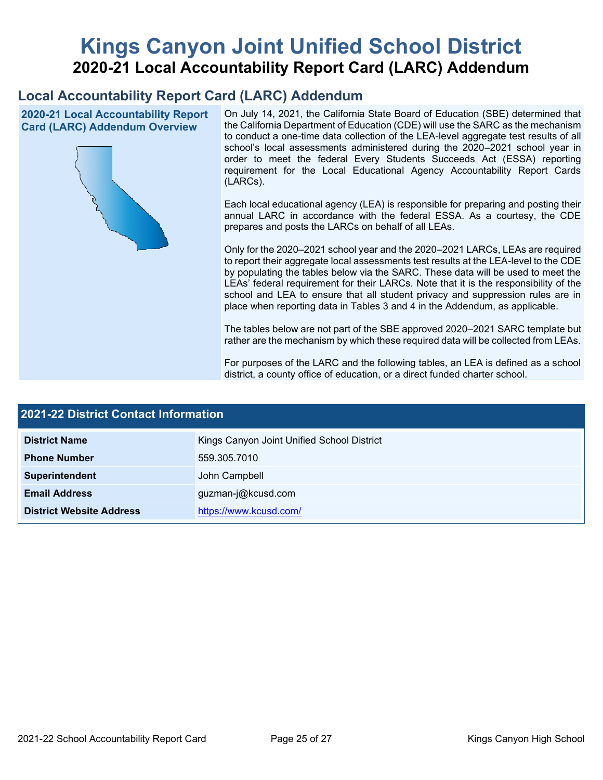# **Kings Canyon Joint Unified School District 2020-21 Local Accountability Report Card (LARC) Addendum**

# **Local Accountability Report Card (LARC) Addendum**

**2020-21 Local Accountability Report Card (LARC) Addendum Overview**



On July 14, 2021, the California State Board of Education (SBE) determined that the California Department of Education (CDE) will use the SARC as the mechanism to conduct a one-time data collection of the LEA-level aggregate test results of all school's local assessments administered during the 2020–2021 school year in order to meet the federal Every Students Succeeds Act (ESSA) reporting requirement for the Local Educational Agency Accountability Report Cards (LARCs).

Each local educational agency (LEA) is responsible for preparing and posting their annual LARC in accordance with the federal ESSA. As a courtesy, the CDE prepares and posts the LARCs on behalf of all LEAs.

Only for the 2020–2021 school year and the 2020–2021 LARCs, LEAs are required to report their aggregate local assessments test results at the LEA-level to the CDE by populating the tables below via the SARC. These data will be used to meet the LEAs' federal requirement for their LARCs. Note that it is the responsibility of the school and LEA to ensure that all student privacy and suppression rules are in place when reporting data in Tables 3 and 4 in the Addendum, as applicable.

The tables below are not part of the SBE approved 2020–2021 SARC template but rather are the mechanism by which these required data will be collected from LEAs.

For purposes of the LARC and the following tables, an LEA is defined as a school district, a county office of education, or a direct funded charter school.

| <b>2021-22 District Contact Information</b> |                                            |  |  |  |
|---------------------------------------------|--------------------------------------------|--|--|--|
| <b>District Name</b>                        | Kings Canyon Joint Unified School District |  |  |  |
| <b>Phone Number</b>                         | 559.305.7010                               |  |  |  |
| Superintendent                              | John Campbell                              |  |  |  |
| <b>Email Address</b>                        | guzman-j@kcusd.com                         |  |  |  |
| <b>District Website Address</b>             | https://www.kcusd.com/                     |  |  |  |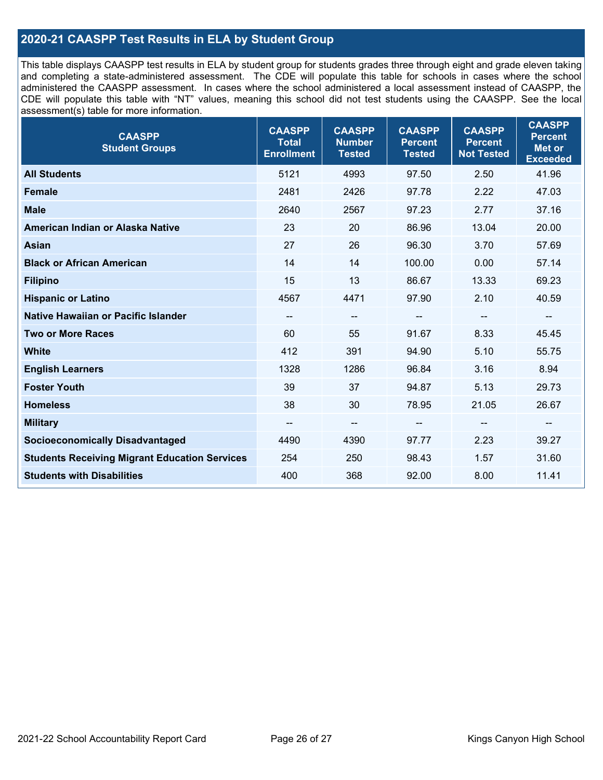### **2020-21 CAASPP Test Results in ELA by Student Group**

This table displays CAASPP test results in ELA by student group for students grades three through eight and grade eleven taking and completing a state-administered assessment. The CDE will populate this table for schools in cases where the school administered the CAASPP assessment. In cases where the school administered a local assessment instead of CAASPP, the CDE will populate this table with "NT" values, meaning this school did not test students using the CAASPP. See the local assessment(s) table for more information.

| <b>CAASPP</b><br><b>Student Groups</b>               | <b>CAASPP</b><br><b>Total</b><br><b>Enrollment</b> | <b>CAASPP</b><br><b>Number</b><br><b>Tested</b> | <b>CAASPP</b><br><b>Percent</b><br><b>Tested</b> | <b>CAASPP</b><br><b>Percent</b><br><b>Not Tested</b> | <b>CAASPP</b><br><b>Percent</b><br><b>Met or</b><br><b>Exceeded</b> |
|------------------------------------------------------|----------------------------------------------------|-------------------------------------------------|--------------------------------------------------|------------------------------------------------------|---------------------------------------------------------------------|
| <b>All Students</b>                                  | 5121                                               | 4993                                            | 97.50                                            | 2.50                                                 | 41.96                                                               |
| <b>Female</b>                                        | 2481                                               | 2426                                            | 97.78                                            | 2.22                                                 | 47.03                                                               |
| <b>Male</b>                                          | 2640                                               | 2567                                            | 97.23                                            | 2.77                                                 | 37.16                                                               |
| American Indian or Alaska Native                     | 23                                                 | 20                                              | 86.96                                            | 13.04                                                | 20.00                                                               |
| <b>Asian</b>                                         | 27                                                 | 26                                              | 96.30                                            | 3.70                                                 | 57.69                                                               |
| <b>Black or African American</b>                     | 14                                                 | 14                                              | 100.00                                           | 0.00                                                 | 57.14                                                               |
| <b>Filipino</b>                                      | 15                                                 | 13                                              | 86.67                                            | 13.33                                                | 69.23                                                               |
| <b>Hispanic or Latino</b>                            | 4567                                               | 4471                                            | 97.90                                            | 2.10                                                 | 40.59                                                               |
| Native Hawaiian or Pacific Islander                  | --                                                 | $\overline{\phantom{a}}$                        | --                                               | $\overline{\phantom{a}}$                             | --                                                                  |
| <b>Two or More Races</b>                             | 60                                                 | 55                                              | 91.67                                            | 8.33                                                 | 45.45                                                               |
| <b>White</b>                                         | 412                                                | 391                                             | 94.90                                            | 5.10                                                 | 55.75                                                               |
| <b>English Learners</b>                              | 1328                                               | 1286                                            | 96.84                                            | 3.16                                                 | 8.94                                                                |
| <b>Foster Youth</b>                                  | 39                                                 | 37                                              | 94.87                                            | 5.13                                                 | 29.73                                                               |
| <b>Homeless</b>                                      | 38                                                 | 30                                              | 78.95                                            | 21.05                                                | 26.67                                                               |
| <b>Military</b>                                      | --                                                 | --                                              | --                                               | --                                                   | $\overline{\phantom{m}}$                                            |
| <b>Socioeconomically Disadvantaged</b>               | 4490                                               | 4390                                            | 97.77                                            | 2.23                                                 | 39.27                                                               |
| <b>Students Receiving Migrant Education Services</b> | 254                                                | 250                                             | 98.43                                            | 1.57                                                 | 31.60                                                               |
| <b>Students with Disabilities</b>                    | 400                                                | 368                                             | 92.00                                            | 8.00                                                 | 11.41                                                               |